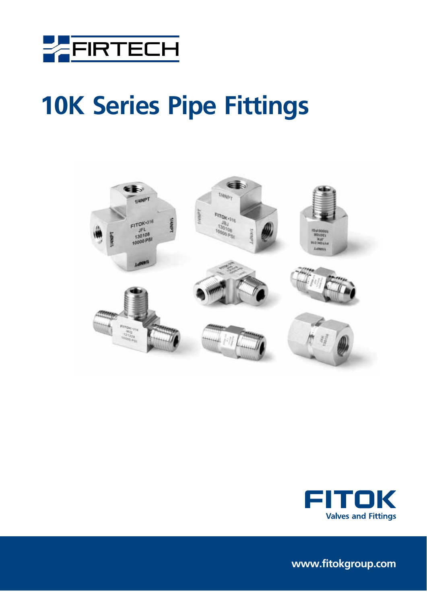





**www.fitokgroup.com**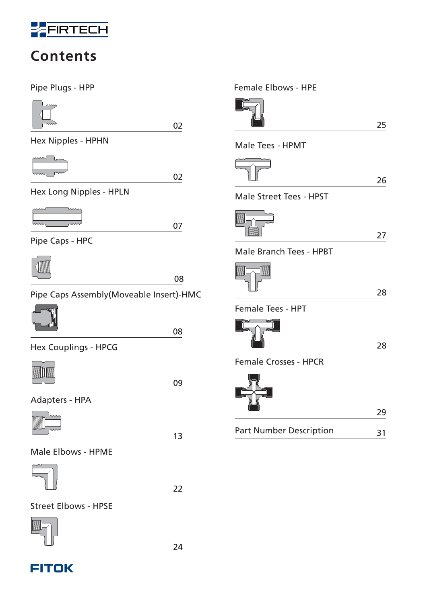

## **Contents**

Pipe Plugs - HPP



02

Hex Nipples - HPHN



02





07

Pipe Caps - HPC



08

Pipe Caps Assembly(Moveable Insert)-HMC



08

Hex Couplings - HPCG



09

Adapters - HPA

13

Male Elbows - HPME



22

Street Elbows - HPSE



24

## **FITOK**

|                                | 25 |
|--------------------------------|----|
| Male Tees - HPMT               |    |
|                                | 26 |
| <b>Male Street Tees - HPST</b> |    |
| <b>MARKET</b>                  | 27 |
| Male Branch Tees - HPBT        |    |
|                                | 28 |
| <b>Female Tees - HPT</b>       |    |
|                                | 28 |
| <b>Female Crosses - HPCR</b>   |    |
|                                | 29 |
| <b>Part Number Description</b> | 31 |
|                                |    |

Female Elbows - HPE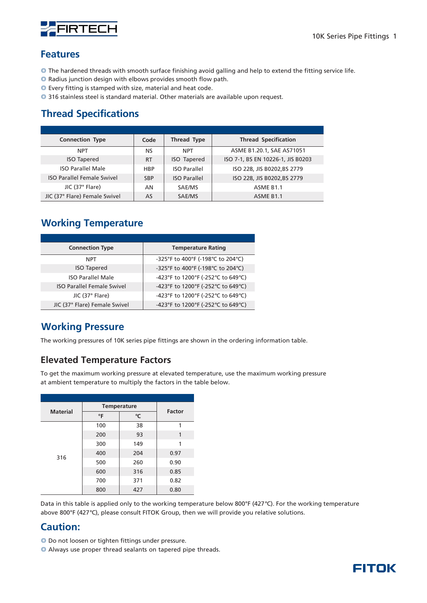

#### **Features**

- ◎ The hardened threads with smooth surface finishing avoid galling and help to extend the fitting service life.
- ◎ Radius junction design with elbows provides smooth flow path.
- ◎ Every fitting is stamped with size, material and heat code.
- ◎ 316 stainless steel is standard material. Other materials are available upon request.

### **Thread Specifications**

| <b>Connection Type</b>            | Code       | <b>Thread Type</b>  | <b>Thread Specification</b>       |
|-----------------------------------|------------|---------------------|-----------------------------------|
| <b>NPT</b>                        | NS         | <b>NPT</b>          | ASME B1.20.1, SAE AS71051         |
| <b>ISO Tapered</b>                | <b>RT</b>  | <b>ISO Tapered</b>  | ISO 7-1, BS EN 10226-1, JIS B0203 |
| <b>ISO Parallel Male</b>          | <b>HBP</b> | <b>ISO Parallel</b> | ISO 228, JIS B0202, BS 2779       |
| <b>ISO Parallel Female Swivel</b> | <b>SBP</b> | <b>ISO Parallel</b> | ISO 228, JIS B0202, BS 2779       |
| JIC (37° Flare)                   | AN         | SAE/MS              | ASME B <sub>1.1</sub>             |
| JIC (37° Flare) Female Swivel     | AS         | SAE/MS              | ASME B <sub>1.1</sub>             |

### **Working Temperature**

| <b>Connection Type</b>            | <b>Temperature Rating</b>          |
|-----------------------------------|------------------------------------|
| <b>NPT</b>                        | -325°F to 400°F (-198°C to 204°C)  |
| <b>ISO Tapered</b>                | -325°F to 400°F (-198°C to 204°C)  |
| <b>ISO Parallel Male</b>          | -423°F to 1200°F (-252°C to 649°C) |
| <b>ISO Parallel Female Swivel</b> | -423°F to 1200°F (-252°C to 649°C) |
| JIC (37° Flare)                   | -423°F to 1200°F (-252°C to 649°C) |
| JIC (37° Flare) Female Swivel     | -423°F to 1200°F (-252°C to 649°C) |

### **Working Pressure**

The working pressures of 10K series pipe fittings are shown in the ordering information table.

### **Elevated Temperature Factors**

To get the maximum working pressure at elevated temperature, use the maximum working pressure at ambient temperature to multiply the factors in the table below.

| <b>Material</b> |           | <b>Temperature</b> |        |  |  |  |
|-----------------|-----------|--------------------|--------|--|--|--|
|                 | $\circ$ F | °C                 | Factor |  |  |  |
|                 | 100       | 38                 | 1      |  |  |  |
|                 | 200       | 93                 | 1      |  |  |  |
|                 | 300       | 149                | 1      |  |  |  |
| 316             | 400       | 204                | 0.97   |  |  |  |
|                 | 500       | 260                | 0.90   |  |  |  |
|                 | 600       | 316                | 0.85   |  |  |  |
|                 | 700       | 371                | 0.82   |  |  |  |
|                 | 800       | 427                | 0.80   |  |  |  |

Data in this table is applied only to the working temperature below 800°F (427 °C). For the working temperature above 800 $\degree$ F (427 $\degree$ C), please consult FITOK Group, then we will provide you relative solutions.

### **Caution:**

- ◎ Do not loosen or tighten fittings under pressure.
- ◎ Always use proper thread sealants on tapered pipe threads.

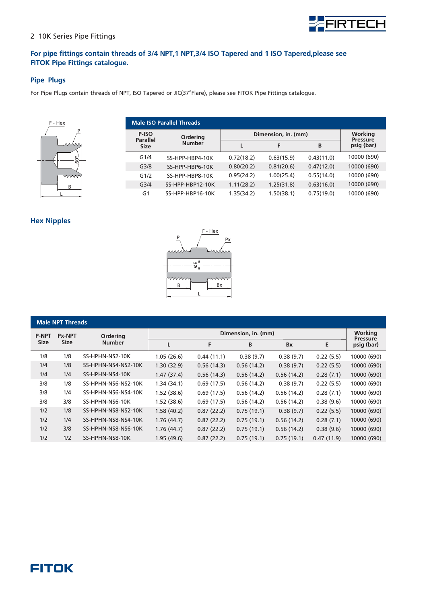

10000 (690) 10000 (690) 10000 (690) 10000 (690) 10000 (690)

**Working Pressure psig (bar)**

**LF B Dimension, in. (mm)**

> 0.63(15.9) 0.81(20.6) 1.00(25.4) 1.25(31.8) 1.50(38.1)

0.43(11.0) 0.47(12.0) 0.55(14.0) 0.63(16.0) 0.75(19.0)

0.72(18.2) 0.80(20.2) 0.95(24.2) 1.11(28.2) 1.35(34.2)

#### 2 10K Series Pipe Fittings

#### **For pipe fittings contain threads of 3/4 NPT,1 NPT,3/4 ISO Tapered and 1 ISO Tapered,please see FITOK Pipe Fittings catalogue.**

**Ordering Number**

SS-HPP-HBP4-10K SS-HPP-HBP6-10K SS-HPP-HBP8-10K SS-HPP-HBP12-10K SS-HPP-HBP16-10K

#### **Pipe Plugs**

For Pipe Plugs contain threads of NPT, ISO Tapered or JIC(37°Flare), please see FITOK Pipe Fittings catalogue.

**Male ISO Parallel Threads**

**P-ISO Parallel Size** G1/4 G3/8 G1/2 G3/4  $G1$ 



#### **Hex Nipples**

| F - Hex |
|---------|
| P<br>Px |
|         |
|         |
| ΦË      |
|         |
|         |
| Вx<br>В |
|         |

| <b>Male NPT Threads</b> |               |                     |            |            |                     |            |            |                            |  |
|-------------------------|---------------|---------------------|------------|------------|---------------------|------------|------------|----------------------------|--|
| <b>P-NPT</b>            | <b>Px-NPT</b> | <b>Ordering</b>     |            |            | Dimension, in. (mm) |            |            | Working<br><b>Pressure</b> |  |
| <b>Size</b>             | <b>Size</b>   | <b>Number</b>       | L          | F          | B                   | <b>Bx</b>  | E          | psig (bar)                 |  |
| 1/8                     | 1/8           | SS-HPHN-NS2-10K     | 1.05(26.6) | 0.44(11.1) | 0.38(9.7)           | 0.38(9.7)  | 0.22(5.5)  | 10000 (690)                |  |
| 1/4                     | 1/8           | SS-HPHN-NS4-NS2-10K | 1.30(32.9) | 0.56(14.3) | 0.56(14.2)          | 0.38(9.7)  | 0.22(5.5)  | 10000 (690)                |  |
| 1/4                     | 1/4           | SS-HPHN-NS4-10K     | 1.47(37.4) | 0.56(14.3) | 0.56(14.2)          | 0.56(14.2) | 0.28(7.1)  | 10000 (690)                |  |
| 3/8                     | 1/8           | SS-HPHN-NS6-NS2-10K | 1.34(34.1) | 0.69(17.5) | 0.56(14.2)          | 0.38(9.7)  | 0.22(5.5)  | 10000 (690)                |  |
| 3/8                     | 1/4           | SS-HPHN-NS6-NS4-10K | 1.52(38.6) | 0.69(17.5) | 0.56(14.2)          | 0.56(14.2) | 0.28(7.1)  | 10000 (690)                |  |
| 3/8                     | 3/8           | SS-HPHN-NS6-10K     | 1.52(38.6) | 0.69(17.5) | 0.56(14.2)          | 0.56(14.2) | 0.38(9.6)  | 10000 (690)                |  |
| 1/2                     | 1/8           | SS-HPHN-NS8-NS2-10K | 1.58(40.2) | 0.87(22.2) | 0.75(19.1)          | 0.38(9.7)  | 0.22(5.5)  | 10000 (690)                |  |
| 1/2                     | 1/4           | SS-HPHN-NS8-NS4-10K | 1.76(44.7) | 0.87(22.2) | 0.75(19.1)          | 0.56(14.2) | 0.28(7.1)  | 10000 (690)                |  |
| 1/2                     | 3/8           | SS-HPHN-NS8-NS6-10K | 1.76(44.7) | 0.87(22.2) | 0.75(19.1)          | 0.56(14.2) | 0.38(9.6)  | 10000 (690)                |  |
| 1/2                     | 1/2           | SS-HPHN-NS8-10K     | 1.95(49.6) | 0.87(22.2) | 0.75(19.1)          | 0.75(19.1) | 0.47(11.9) | 10000 (690)                |  |

### **FITOK**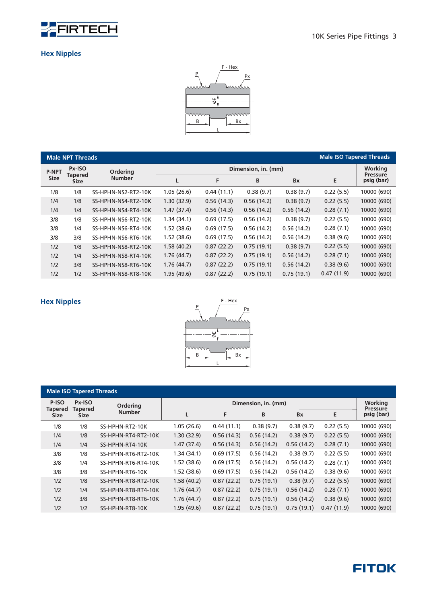

#### **Hex Nipples**



|              | <b>Male NPT Threads</b> |                     |            |            |                     |            | <b>Male ISO Tapered Threads</b> |                            |
|--------------|-------------------------|---------------------|------------|------------|---------------------|------------|---------------------------------|----------------------------|
| <b>P-NPT</b> | Px-ISO                  | Ordering            |            |            | Dimension, in. (mm) |            |                                 | Working<br><b>Pressure</b> |
| <b>Size</b>  | Tapered<br><b>Size</b>  | <b>Number</b>       | L          | F          | B                   | <b>Bx</b>  | E                               | psig (bar)                 |
| 1/8          | 1/8                     | SS-HPHN-NS2-RT2-10K | 1.05(26.6) | 0.44(11.1) | 0.38(9.7)           | 0.38(9.7)  | 0.22(5.5)                       | 10000 (690)                |
| 1/4          | 1/8                     | SS-HPHN-NS4-RT2-10K | 1.30(32.9) | 0.56(14.3) | 0.56(14.2)          | 0.38(9.7)  | 0.22(5.5)                       | 10000 (690)                |
| 1/4          | 1/4                     | SS-HPHN-NS4-RT4-10K | 1.47(37.4) | 0.56(14.3) | 0.56(14.2)          | 0.56(14.2) | 0.28(7.1)                       | 10000 (690)                |
| 3/8          | 1/8                     | SS-HPHN-NS6-RT2-10K | 1.34(34.1) | 0.69(17.5) | 0.56(14.2)          | 0.38(9.7)  | 0.22(5.5)                       | 10000 (690)                |
| 3/8          | 1/4                     | SS-HPHN-NS6-RT4-10K | 1.52(38.6) | 0.69(17.5) | 0.56(14.2)          | 0.56(14.2) | 0.28(7.1)                       | 10000 (690)                |
| 3/8          | 3/8                     | SS-HPHN-NS6-RT6-10K | 1.52(38.6) | 0.69(17.5) | 0.56(14.2)          | 0.56(14.2) | 0.38(9.6)                       | 10000 (690)                |
| 1/2          | 1/8                     | SS-HPHN-NS8-RT2-10K | 1.58(40.2) | 0.87(22.2) | 0.75(19.1)          | 0.38(9.7)  | 0.22(5.5)                       | 10000 (690)                |
| 1/2          | 1/4                     | SS-HPHN-NS8-RT4-10K | 1.76(44.7) | 0.87(22.2) | 0.75(19.1)          | 0.56(14.2) | 0.28(7.1)                       | 10000 (690)                |
| 1/2          | 3/8                     | SS-HPHN-NS8-RT6-10K | 1.76(44.7) | 0.87(22.2) | 0.75(19.1)          | 0.56(14.2) | 0.38(9.6)                       | 10000 (690)                |
| 1/2          | 1/2                     | SS-HPHN-NS8-RT8-10K | 1.95(49.6) | 0.87(22.2) | 0.75(19.1)          | 0.75(19.1) | 0.47(11.9)                      | 10000 (690)                |



| <b>Male ISO Tapered Threads</b> |                   |                     |            |            |                     |            |            |                            |
|---------------------------------|-------------------|---------------------|------------|------------|---------------------|------------|------------|----------------------------|
| P-ISO<br><b>Tapered</b>         | Px-ISO<br>Tapered | <b>Ordering</b>     |            |            | Dimension, in. (mm) |            |            | Working<br><b>Pressure</b> |
| <b>Size</b>                     | <b>Size</b>       | <b>Number</b>       | L          | F          | B                   | <b>Bx</b>  | E          | psig (bar)                 |
| 1/8                             | 1/8               | SS-HPHN-RT2-10K     | 1.05(26.6) | 0.44(11.1) | 0.38(9.7)           | 0.38(9.7)  | 0.22(5.5)  | 10000 (690)                |
| 1/4                             | 1/8               | SS-HPHN-RT4-RT2-10K | 1.30(32.9) | 0.56(14.3) | 0.56(14.2)          | 0.38(9.7)  | 0.22(5.5)  | 10000 (690)                |
| 1/4                             | 1/4               | SS-HPHN-RT4-10K     | 1.47(37.4) | 0.56(14.3) | 0.56(14.2)          | 0.56(14.2) | 0.28(7.1)  | 10000 (690)                |
| 3/8                             | 1/8               | SS-HPHN-RT6-RT2-10K | 1.34(34.1) | 0.69(17.5) | 0.56(14.2)          | 0.38(9.7)  | 0.22(5.5)  | 10000 (690)                |
| 3/8                             | 1/4               | SS-HPHN-RT6-RT4-10K | 1.52(38.6) | 0.69(17.5) | 0.56(14.2)          | 0.56(14.2) | 0.28(7.1)  | 10000 (690)                |
| 3/8                             | 3/8               | SS-HPHN-RT6-10K     | 1.52(38.6) | 0.69(17.5) | 0.56(14.2)          | 0.56(14.2) | 0.38(9.6)  | 10000 (690)                |
| 1/2                             | 1/8               | SS-HPHN-RT8-RT2-10K | 1.58(40.2) | 0.87(22.2) | 0.75(19.1)          | 0.38(9.7)  | 0.22(5.5)  | 10000 (690)                |
| 1/2                             | 1/4               | SS-HPHN-RT8-RT4-10K | 1.76(44.7) | 0.87(22.2) | 0.75(19.1)          | 0.56(14.2) | 0.28(7.1)  | 10000 (690)                |
| 1/2                             | 3/8               | SS-HPHN-RT8-RT6-10K | 1.76(44.7) | 0.87(22.2) | 0.75(19.1)          | 0.56(14.2) | 0.38(9.6)  | 10000 (690)                |
| 1/2                             | 1/2               | SS-HPHN-RT8-10K     | 1.95(49.6) | 0.87(22.2) | 0.75(19.1)          | 0.75(19.1) | 0.47(11.9) | 10000 (690)                |

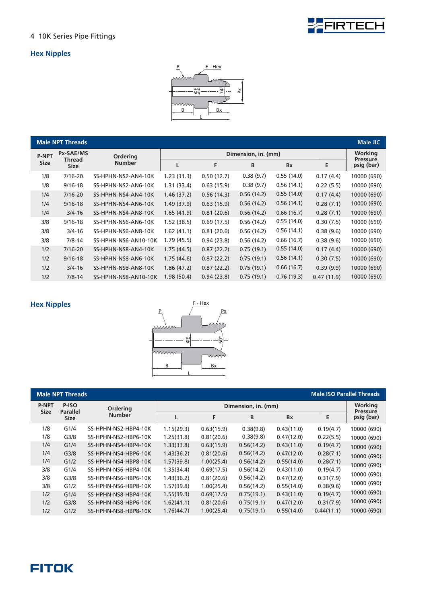

#### **Hex Nipples**



|              | <b>Male NPT Threads</b>    |                      |             |            |                     |            |            | Male JIC                          |
|--------------|----------------------------|----------------------|-------------|------------|---------------------|------------|------------|-----------------------------------|
| <b>P-NPT</b> | Px-SAE/MS<br><b>Thread</b> | <b>Ordering</b>      |             |            | Dimension, in. (mm) |            |            | <b>Working</b><br><b>Pressure</b> |
| <b>Size</b>  | <b>Size</b>                | <b>Number</b>        |             | F          | B                   | <b>Bx</b>  | Е          | psig (bar)                        |
| 1/8          | $7/16 - 20$                | SS-HPHN-NS2-AN4-10K  | 1.23(31.3)  | 0.50(12.7) | 0.38(9.7)           | 0.55(14.0) | 0.17(4.4)  | 10000 (690)                       |
| 1/8          | $9/16 - 18$                | SS-HPHN-NS2-AN6-10K  | 1.31(33.4)  | 0.63(15.9) | 0.38(9.7)           | 0.56(14.1) | 0.22(5.5)  | 10000 (690)                       |
| 1/4          | $7/16 - 20$                | SS-HPHN-NS4-AN4-10K  | 1.46(37.2)  | 0.56(14.3) | 0.56(14.2)          | 0.55(14.0) | 0.17(4.4)  | 10000 (690)                       |
| 1/4          | $9/16 - 18$                | SS-HPHN-NS4-AN6-10K  | 1.49(37.9)  | 0.63(15.9) | 0.56(14.2)          | 0.56(14.1) | 0.28(7.1)  | 10000 (690)                       |
| 1/4          | $3/4 - 16$                 | SS-HPHN-NS4-AN8-10K  | 1.65(41.9)  | 0.81(20.6) | 0.56(14.2)          | 0.66(16.7) | 0.28(7.1)  | 10000 (690)                       |
| 3/8          | $9/16 - 18$                | SS-HPHN-NS6-AN6-10K  | 1.52(38.5)  | 0.69(17.5) | 0.56(14.2)          | 0.55(14.0) | 0.30(7.5)  | 10000 (690)                       |
| 3/8          | $3/4 - 16$                 | SS-HPHN-NS6-AN8-10K  | 1.62 (41.1) | 0.81(20.6) | 0.56(14.2)          | 0.56(14.1) | 0.38(9.6)  | 10000 (690)                       |
| 3/8          | $7/8 - 14$                 | SS-HPHN-NS6-AN10-10K | 1.79 (45.5) | 0.94(23.8) | 0.56(14.2)          | 0.66(16.7) | 0.38(9.6)  | 10000 (690)                       |
| 1/2          | $7/16 - 20$                | SS-HPHN-NS8-AN4-10K  | 1.75(44.5)  | 0.87(22.2) | 0.75(19.1)          | 0.55(14.0) | 0.17(4.4)  | 10000 (690)                       |
| 1/2          | $9/16 - 18$                | SS-HPHN-NS8-AN6-10K  | 1.75(44.6)  | 0.87(22.2) | 0.75(19.1)          | 0.56(14.1) | 0.30(7.5)  | 10000 (690)                       |
| 1/2          | $3/4 - 16$                 | SS-HPHN-NS8-AN8-10K  | 1.86 (47.2) | 0.87(22.2) | 0.75(19.1)          | 0.66(16.7) | 0.39(9.9)  | 10000 (690)                       |
| 1/2          | $7/8 - 14$                 | SS-HPHN-NS8-AN10-10K | 1.98(50.4)  | 0.94(23.8) | 0.75(19.1)          | 0.76(19.3) | 0.47(11.9) | 10000 (690)                       |



| <b>Male ISO Parallel Threads</b><br><b>Male NPT Threads</b> |                          |                      |            |            |                     |            |            |                            |
|-------------------------------------------------------------|--------------------------|----------------------|------------|------------|---------------------|------------|------------|----------------------------|
| <b>P-NPT</b><br><b>Size</b>                                 | P-ISO<br><b>Parallel</b> | <b>Ordering</b>      |            |            | Dimension, in. (mm) |            |            | Working<br><b>Pressure</b> |
|                                                             | <b>Size</b>              | <b>Number</b>        |            | F          | B                   | <b>Bx</b>  | Е          | psig (bar)                 |
| 1/8                                                         | G1/4                     | SS-HPHN-NS2-HBP4-10K | 1.15(29.3) | 0.63(15.9) | 0.38(9.8)           | 0.43(11.0) | 0.19(4.7)  | 10000 (690)                |
| 1/8                                                         | G <sub>3/8</sub>         | SS-HPHN-NS2-HBP6-10K | 1.25(31.8) | 0.81(20.6) | 0.38(9.8)           | 0.47(12.0) | 0.22(5.5)  | 10000 (690)                |
| 1/4                                                         | G1/4                     | SS-HPHN-NS4-HBP4-10K | 1.33(33.8) | 0.63(15.9) | 0.56(14.2)          | 0.43(11.0) | 0.19(4.7)  | 10000 (690)                |
| 1/4                                                         | G <sub>3/8</sub>         | SS-HPHN-NS4-HBP6-10K | 1.43(36.2) | 0.81(20.6) | 0.56(14.2)          | 0.47(12.0) | 0.28(7.1)  | 10000 (690)                |
| 1/4                                                         | G1/2                     | SS-HPHN-NS4-HBP8-10K | 1.57(39.8) | 1.00(25.4) | 0.56(14.2)          | 0.55(14.0) | 0.28(7.1)  | 10000 (690)                |
| 3/8                                                         | G1/4                     | SS-HPHN-NS6-HBP4-10K | 1.35(34.4) | 0.69(17.5) | 0.56(14.2)          | 0.43(11.0) | 0.19(4.7)  |                            |
| 3/8                                                         | G <sub>3/8</sub>         | SS-HPHN-NS6-HBP6-10K | 1.43(36.2) | 0.81(20.6) | 0.56(14.2)          | 0.47(12.0) | 0.31(7.9)  | 10000 (690)                |
| 3/8                                                         | G1/2                     | SS-HPHN-NS6-HBP8-10K | 1.57(39.8) | 1.00(25.4) | 0.56(14.2)          | 0.55(14.0) | 0.38(9.6)  | 10000 (690)                |
| 1/2                                                         | G1/4                     | SS-HPHN-NS8-HBP4-10K | 1.55(39.3) | 0.69(17.5) | 0.75(19.1)          | 0.43(11.0) | 0.19(4.7)  | 10000 (690)                |
| 1/2                                                         | G <sub>3/8</sub>         | SS-HPHN-NS8-HBP6-10K | 1.62(41.1) | 0.81(20.6) | 0.75(19.1)          | 0.47(12.0) | 0.31(7.9)  | 10000 (690)                |
| 1/2                                                         | G1/2                     | SS-HPHN-NS8-HBP8-10K | 1.76(44.7) | 1.00(25.4) | 0.75(19.1)          | 0.55(14.0) | 0.44(11.1) | 10000 (690)                |
|                                                             |                          |                      |            |            |                     |            |            |                            |

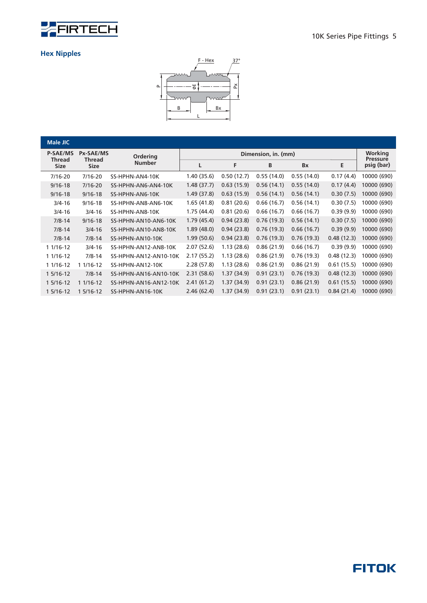



| <b>Male JIC</b>       |                       |                       |            |             |                     |            |            |                               |
|-----------------------|-----------------------|-----------------------|------------|-------------|---------------------|------------|------------|-------------------------------|
| <b>P-SAE/MS</b>       | <b>Px-SAE/MS</b>      | Ordering              |            |             | Dimension, in. (mm) |            |            | Working                       |
| Thread<br><b>Size</b> | Thread<br><b>Size</b> | <b>Number</b>         | L          | F           | B                   | <b>Bx</b>  | E          | <b>Pressure</b><br>psig (bar) |
| 7/16-20               | $7/16 - 20$           | SS-HPHN-AN4-10K       | 1.40(35.6) | 0.50(12.7)  | 0.55(14.0)          | 0.55(14.0) | 0.17(4.4)  | 10000 (690)                   |
| $9/16 - 18$           | $7/16 - 20$           | SS-HPHN-AN6-AN4-10K   | 1.48(37.7) | 0.63(15.9)  | 0.56(14.1)          | 0.55(14.0) | 0.17(4.4)  | 10000 (690)                   |
| $9/16 - 18$           | $9/16 - 18$           | SS-HPHN-AN6-10K       | 1.49(37.8) | 0.63(15.9)  | 0.56(14.1)          | 0.56(14.1) | 0.30(7.5)  | 10000 (690)                   |
| $3/4 - 16$            | $9/16 - 18$           | SS-HPHN-AN8-AN6-10K   | 1.65(41.8) | 0.81(20.6)  | 0.66(16.7)          | 0.56(14.1) | 0.30(7.5)  | 10000 (690)                   |
| $3/4 - 16$            | $3/4 - 16$            | SS-HPHN-AN8-10K       | 1.75(44.4) | 0.81(20.6)  | 0.66(16.7)          | 0.66(16.7) | 0.39(9.9)  | 10000 (690)                   |
| $7/8 - 14$            | $9/16 - 18$           | SS-HPHN-AN10-AN6-10K  | 1.79(45.4) | 0.94(23.8)  | 0.76(19.3)          | 0.56(14.1) | 0.30(7.5)  | 10000 (690)                   |
| $7/8 - 14$            | $3/4 - 16$            | SS-HPHN-AN10-AN8-10K  | 1.89(48.0) | 0.94(23.8)  | 0.76(19.3)          | 0.66(16.7) | 0.39(9.9)  | 10000 (690)                   |
| $7/8 - 14$            | $7/8 - 14$            | SS-HPHN-AN10-10K      | 1.99(50.6) | 0.94(23.8)  | 0.76(19.3)          | 0.76(19.3) | 0.48(12.3) | 10000 (690)                   |
| 1 1/16-12             | $3/4 - 16$            | SS-HPHN-AN12-AN8-10K  | 2.07(52.6) | 1.13(28.6)  | 0.86(21.9)          | 0.66(16.7) | 0.39(9.9)  | 10000 (690)                   |
| $11/16-12$            | $7/8 - 14$            | SS-HPHN-AN12-AN10-10K | 2.17(55.2) | 1.13(28.6)  | 0.86(21.9)          | 0.76(19.3) | 0.48(12.3) | 10000 (690)                   |
| 1 1/16-12             | 1 1/16-12             | SS-HPHN-AN12-10K      | 2.28(57.8) | 1.13(28.6)  | 0.86(21.9)          | 0.86(21.9) | 0.61(15.5) | 10000 (690)                   |
| 1 5/16-12             | $7/8 - 14$            | SS-HPHN-AN16-AN10-10K | 2.31(58.6) | 1.37(34.9)  | 0.91(23.1)          | 0.76(19.3) | 0.48(12.3) | 10000 (690)                   |
| 1 5/16-12             | 1 1/16-12             | SS-HPHN-AN16-AN12-10K | 2.41(61.2) | 1.37 (34.9) | 0.91(23.1)          | 0.86(21.9) | 0.61(15.5) | 10000 (690)                   |
| 1 5/16-12             | 1 5/16-12             | SS-HPHN-AN16-10K      | 2.46(62.4) | 1.37(34.9)  | 0.91(23.1)          | 0.91(23.1) | 0.84(21.4) | 10000 (690)                   |

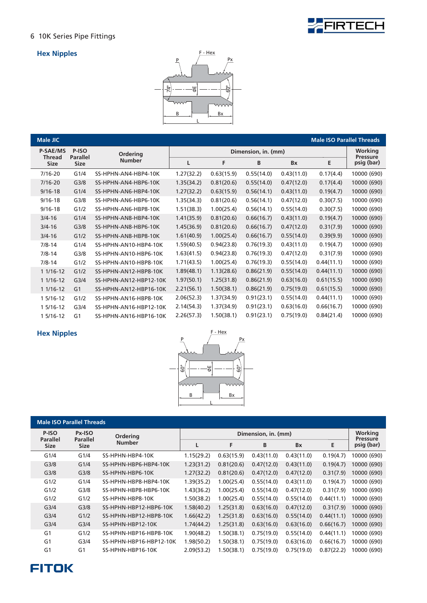

#### **Hex Nipples**



| Male JIC              |                                |                        |            |            |                     |            | <b>Male ISO Parallel Threads</b> |                            |
|-----------------------|--------------------------------|------------------------|------------|------------|---------------------|------------|----------------------------------|----------------------------|
| <b>P-SAE/MS</b>       | P-ISO                          | <b>Ordering</b>        |            |            | Dimension, in. (mm) |            |                                  | Working<br><b>Pressure</b> |
| <b>Thread</b><br>Size | <b>Parallel</b><br><b>Size</b> | <b>Number</b>          | L          | F          | B                   | Bx         | Е                                | psig (bar)                 |
| $7/16 - 20$           | G1/4                           | SS-HPHN-AN4-HBP4-10K   | 1.27(32.2) | 0.63(15.9) | 0.55(14.0)          | 0.43(11.0) | 0.17(4.4)                        | 10000 (690)                |
| $7/16 - 20$           | G3/8                           | SS-HPHN-AN4-HBP6-10K   | 1.35(34.2) | 0.81(20.6) | 0.55(14.0)          | 0.47(12.0) | 0.17(4.4)                        | 10000 (690)                |
| $9/16 - 18$           | G1/4                           | SS-HPHN-AN6-HBP4-10K   | 1.27(32.2) | 0.63(15.9) | 0.56(14.1)          | 0.43(11.0) | 0.19(4.7)                        | 10000 (690)                |
| $9/16 - 18$           | G <sub>3/8</sub>               | SS-HPHN-AN6-HBP6-10K   | 1.35(34.3) | 0.81(20.6) | 0.56(14.1)          | 0.47(12.0) | 0.30(7.5)                        | 10000 (690)                |
| $9/16 - 18$           | G1/2                           | SS-HPHN-AN6-HBP8-10K   | 1.51(38.3) | 1.00(25.4) | 0.56(14.1)          | 0.55(14.0) | 0.30(7.5)                        | 10000 (690)                |
| $3/4 - 16$            | G1/4                           | SS-HPHN-AN8-HBP4-10K   | 1.41(35.9) | 0.81(20.6) | 0.66(16.7)          | 0.43(11.0) | 0.19(4.7)                        | 10000 (690)                |
| $3/4 - 16$            | G <sub>3/8</sub>               | SS-HPHN-AN8-HBP6-10K   | 1.45(36.9) | 0.81(20.6) | 0.66(16.7)          | 0.47(12.0) | 0.31(7.9)                        | 10000 (690)                |
| $3/4 - 16$            | G1/2                           | SS-HPHN-AN8-HBP8-10K   | 1.61(40.9) | 1.00(25.4) | 0.66(16.7)          | 0.55(14.0) | 0.39(9.9)                        | 10000 (690)                |
| $7/8 - 14$            | G1/4                           | SS-HPHN-AN10-HBP4-10K  | 1.59(40.5) | 0.94(23.8) | 0.76(19.3)          | 0.43(11.0) | 0.19(4.7)                        | 10000 (690)                |
| $7/8 - 14$            | G <sub>3/8</sub>               | SS-HPHN-AN10-HBP6-10K  | 1.63(41.5) | 0.94(23.8) | 0.76(19.3)          | 0.47(12.0) | 0.31(7.9)                        | 10000 (690)                |
| $7/8 - 14$            | G1/2                           | SS-HPHN-AN10-HBP8-10K  | 1.71(43.5) | 1.00(25.4) | 0.76(19.3)          | 0.55(14.0) | 0.44(11.1)                       | 10000 (690)                |
| 1 1/16-12             | G1/2                           | SS-HPHN-AN12-HBP8-10K  | 1.89(48.1) | 1.13(28.6) | 0.86(21.9)          | 0.55(14.0) | 0.44(11.1)                       | 10000 (690)                |
| 1 1/16-12             | G <sub>3/4</sub>               | SS-HPHN-AN12-HBP12-10K | 1.97(50.1) | 1.25(31.8) | 0.86(21.9)          | 0.63(16.0) | 0.61(15.5)                       | 10000 (690)                |
| 1 1/16-12             | G <sub>1</sub>                 | SS-HPHN-AN12-HBP16-10K | 2.21(56.1) | 1.50(38.1) | 0.86(21.9)          | 0.75(19.0) | 0.61(15.5)                       | 10000 (690)                |
| 1 5/16-12             | G1/2                           | SS-HPHN-AN16-HBP8-10K  | 2.06(52.3) | 1.37(34.9) | 0.91(23.1)          | 0.55(14.0) | 0.44(11.1)                       | 10000 (690)                |
| 1 5/16-12             | G <sub>3/4</sub>               | SS-HPHN-AN16-HBP12-10K | 2.14(54.3) | 1.37(34.9) | 0.91(23.1)          | 0.63(16.0) | 0.66(16.7)                       | 10000 (690)                |
| 1 5/16-12             | G <sub>1</sub>                 | SS-HPHN-AN16-HBP16-10K | 2.26(57.3) | 1.50(38.1) | 0.91(23.1)          | 0.75(19.0) | 0.84(21.4)                       | 10000 (690)                |



| <b>Male ISO Parallel Threads</b> |                           |                         |            |                     |            |            |            |                               |  |
|----------------------------------|---------------------------|-------------------------|------------|---------------------|------------|------------|------------|-------------------------------|--|
| P-ISO<br><b>Parallel</b>         | Px-ISO<br><b>Parallel</b> | <b>Ordering</b>         |            | Dimension, in. (mm) |            |            |            |                               |  |
| <b>Size</b>                      | <b>Size</b>               | <b>Number</b>           |            | F                   | B          | <b>Bx</b>  | E          | <b>Pressure</b><br>psig (bar) |  |
| G1/4                             | G1/4                      | SS-HPHN-HBP4-10K        | 1.15(29.2) | 0.63(15.9)          | 0.43(11.0) | 0.43(11.0) | 0.19(4.7)  | 10000 (690)                   |  |
| G <sub>3/8</sub>                 | G1/4                      | SS-HPHN-HBP6-HBP4-10K   | 1.23(31.2) | 0.81(20.6)          | 0.47(12.0) | 0.43(11.0) | 0.19(4.7)  | 10000 (690)                   |  |
| G <sub>3/8</sub>                 | G <sub>3/8</sub>          | SS-HPHN-HBP6-10K        | 1.27(32.2) | 0.81(20.6)          | 0.47(12.0) | 0.47(12.0) | 0.31(7.9)  | 10000 (690)                   |  |
| G1/2                             | G1/4                      | SS-HPHN-HBP8-HBP4-10K   | 1.39(35.2) | 1.00(25.4)          | 0.55(14.0) | 0.43(11.0) | 0.19(4.7)  | 10000 (690)                   |  |
| G1/2                             | G <sub>3/8</sub>          | SS-HPHN-HBP8-HBP6-10K   | 1.43(36.2) | 1.00(25.4)          | 0.55(14.0) | 0.47(12.0) | 0.31(7.9)  | 10000 (690)                   |  |
| G1/2                             | G1/2                      | SS-HPHN-HBP8-10K        | 1.50(38.2) | 1.00(25.4)          | 0.55(14.0) | 0.55(14.0) | 0.44(11.1) | 10000 (690)                   |  |
| G <sub>3/4</sub>                 | G <sub>3/8</sub>          | SS-HPHN-HBP12-HBP6-10K  | 1.58(40.2) | 1.25(31.8)          | 0.63(16.0) | 0.47(12.0) | 0.31(7.9)  | 10000 (690)                   |  |
| G <sub>3/4</sub>                 | G1/2                      | SS-HPHN-HBP12-HBP8-10K  | 1.66(42.2) | 1.25(31.8)          | 0.63(16.0) | 0.55(14.0) | 0.44(11.1) | 10000 (690)                   |  |
| G <sub>3/4</sub>                 | G <sub>3/4</sub>          | SS-HPHN-HBP12-10K       | 1.74(44.2) | 1.25(31.8)          | 0.63(16.0) | 0.63(16.0) | 0.66(16.7) | 10000 (690)                   |  |
| G <sub>1</sub>                   | G1/2                      | SS-HPHN-HBP16-HBP8-10K  | 1.90(48.2) | 1.50(38.1)          | 0.75(19.0) | 0.55(14.0) | 0.44(11.1) | 10000 (690)                   |  |
| G <sub>1</sub>                   | G <sub>3/4</sub>          | SS-HPHN-HBP16-HBP12-10K | 1.98(50.2) | 1.50(38.1)          | 0.75(19.0) | 0.63(16.0) | 0.66(16.7) | 10000 (690)                   |  |
| G <sub>1</sub>                   | G <sub>1</sub>            | SS-HPHN-HBP16-10K       | 2.09(53.2) | 1.50(38.1)          | 0.75(19.0) | 0.75(19.0) | 0.87(22.2) | 10000 (690)                   |  |

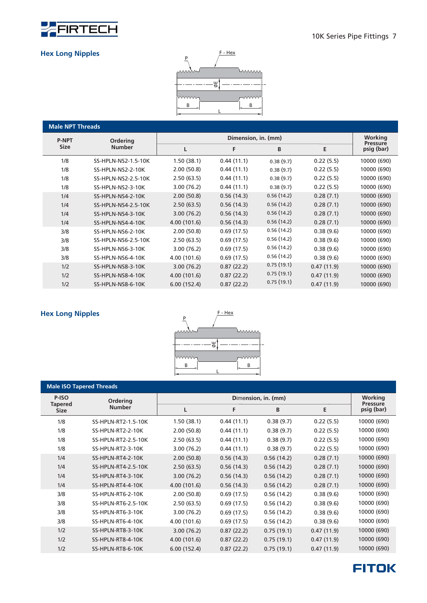

#### **Hex Long Nipples**



| <b>Male NPT Threads</b> |                     |              |                     |            |            |                            |
|-------------------------|---------------------|--------------|---------------------|------------|------------|----------------------------|
| <b>P-NPT</b>            | <b>Ordering</b>     |              | Dimension, in. (mm) |            |            | Working<br><b>Pressure</b> |
| <b>Size</b>             | <b>Number</b>       | L            | F                   | B          | E          | psig (bar)                 |
| 1/8                     | SS-HPLN-NS2-1.5-10K | 1.50(38.1)   | 0.44(11.1)          | 0.38(9.7)  | 0.22(5.5)  | 10000 (690)                |
| 1/8                     | SS-HPLN-NS2-2-10K   | 2.00(50.8)   | 0.44(11.1)          | 0.38(9.7)  | 0.22(5.5)  | 10000 (690)                |
| 1/8                     | SS-HPLN-NS2-2.5-10K | 2.50(63.5)   | 0.44(11.1)          | 0.38(9.7)  | 0.22(5.5)  | 10000 (690)                |
| 1/8                     | SS-HPLN-NS2-3-10K   | 3.00(76.2)   | 0.44(11.1)          | 0.38(9.7)  | 0.22(5.5)  | 10000 (690)                |
| 1/4                     | SS-HPLN-NS4-2-10K   | 2.00(50.8)   | 0.56(14.3)          | 0.56(14.2) | 0.28(7.1)  | 10000 (690)                |
| 1/4                     | SS-HPLN-NS4-2.5-10K | 2.50(63.5)   | 0.56(14.3)          | 0.56(14.2) | 0.28(7.1)  | 10000 (690)                |
| 1/4                     | SS-HPLN-NS4-3-10K   | 3.00(76.2)   | 0.56(14.3)          | 0.56(14.2) | 0.28(7.1)  | 10000 (690)                |
| 1/4                     | SS-HPLN-NS4-4-10K   | 4.00 (101.6) | 0.56(14.3)          | 0.56(14.2) | 0.28(7.1)  | 10000 (690)                |
| 3/8                     | SS-HPLN-NS6-2-10K   | 2.00(50.8)   | 0.69(17.5)          | 0.56(14.2) | 0.38(9.6)  | 10000 (690)                |
| 3/8                     | SS-HPLN-NS6-2.5-10K | 2.50(63.5)   | 0.69(17.5)          | 0.56(14.2) | 0.38(9.6)  | 10000 (690)                |
| 3/8                     | SS-HPLN-NS6-3-10K   | 3.00(76.2)   | 0.69(17.5)          | 0.56(14.2) | 0.38(9.6)  | 10000 (690)                |
| 3/8                     | SS-HPLN-NS6-4-10K   | 4.00 (101.6) | 0.69(17.5)          | 0.56(14.2) | 0.38(9.6)  | 10000 (690)                |
| 1/2                     | SS-HPLN-NS8-3-10K   | 3.00(76.2)   | 0.87(22.2)          | 0.75(19.1) | 0.47(11.9) | 10000 (690)                |
| 1/2                     | SS-HPLN-NS8-4-10K   | 4.00 (101.6) | 0.87(22.2)          | 0.75(19.1) | 0.47(11.9) | 10000 (690)                |
| 1/2                     | SS-HPLN-NS8-6-10K   | 6.00(152.4)  | 0.87(22.2)          | 0.75(19.1) | 0.47(11.9) | 10000 (690)                |

#### **Hex Long Nipples**



|                               | <b>Male ISO Tapered Threads</b> |              |                            |            |            |             |
|-------------------------------|---------------------------------|--------------|----------------------------|------------|------------|-------------|
| P-ISO                         | Ordering                        |              | Working<br><b>Pressure</b> |            |            |             |
| <b>Tapered</b><br><b>Size</b> | <b>Number</b>                   | L            | F                          | B          | Е          | psig (bar)  |
| 1/8                           | SS-HPLN-RT2-1.5-10K             | 1.50(38.1)   | 0.44(11.1)                 | 0.38(9.7)  | 0.22(5.5)  | 10000 (690) |
| 1/8                           | SS-HPLN-RT2-2-10K               | 2.00(50.8)   | 0.44(11.1)                 | 0.38(9.7)  | 0.22(5.5)  | 10000 (690) |
| 1/8                           | SS-HPLN-RT2-2.5-10K             | 2.50(63.5)   | 0.44(11.1)                 | 0.38(9.7)  | 0.22(5.5)  | 10000 (690) |
| 1/8                           | SS-HPLN-RT2-3-10K               | 3.00(76.2)   | 0.44(11.1)                 | 0.38(9.7)  | 0.22(5.5)  | 10000 (690) |
| 1/4                           | SS-HPLN-RT4-2-10K               | 2.00(50.8)   | 0.56(14.3)                 | 0.56(14.2) | 0.28(7.1)  | 10000 (690) |
| 1/4                           | SS-HPLN-RT4-2.5-10K             | 2.50(63.5)   | 0.56(14.3)                 | 0.56(14.2) | 0.28(7.1)  | 10000 (690) |
| 1/4                           | SS-HPLN-RT4-3-10K               | 3.00(76.2)   | 0.56(14.3)                 | 0.56(14.2) | 0.28(7.1)  | 10000 (690) |
| 1/4                           | SS-HPLN-RT4-4-10K               | 4.00(101.6)  | 0.56(14.3)                 | 0.56(14.2) | 0.28(7.1)  | 10000 (690) |
| 3/8                           | SS-HPLN-RT6-2-10K               | 2.00(50.8)   | 0.69(17.5)                 | 0.56(14.2) | 0.38(9.6)  | 10000 (690) |
| 3/8                           | SS-HPLN-RT6-2.5-10K             | 2.50(63.5)   | 0.69(17.5)                 | 0.56(14.2) | 0.38(9.6)  | 10000 (690) |
| 3/8                           | SS-HPLN-RT6-3-10K               | 3.00(76.2)   | 0.69(17.5)                 | 0.56(14.2) | 0.38(9.6)  | 10000 (690) |
| 3/8                           | SS-HPLN-RT6-4-10K               | 4.00 (101.6) | 0.69(17.5)                 | 0.56(14.2) | 0.38(9.6)  | 10000 (690) |
| 1/2                           | SS-HPLN-RT8-3-10K               | 3.00(76.2)   | 0.87(22.2)                 | 0.75(19.1) | 0.47(11.9) | 10000 (690) |
| 1/2                           | SS-HPLN-RT8-4-10K               | 4.00(101.6)  | 0.87(22.2)                 | 0.75(19.1) | 0.47(11.9) | 10000 (690) |
| 1/2                           | SS-HPLN-RT8-6-10K               | 6.00(152.4)  | 0.87(22.2)                 | 0.75(19.1) | 0.47(11.9) | 10000 (690) |

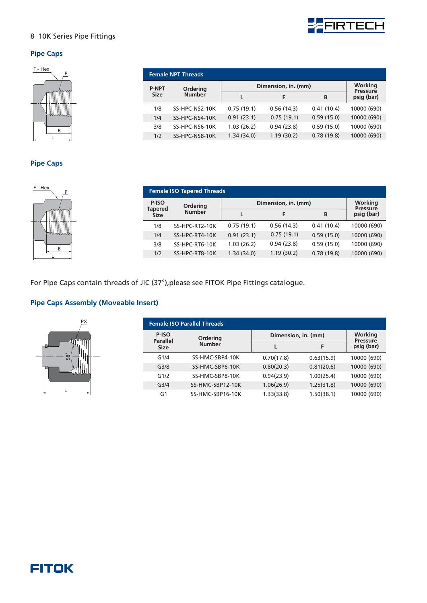

#### **Pipe Caps**



| <b>Female NPT Threads</b> |                |                     |                            |            |             |  |  |  |  |
|---------------------------|----------------|---------------------|----------------------------|------------|-------------|--|--|--|--|
| <b>P-NPT</b>              | Ordering       | Dimension, in. (mm) | Working<br><b>Pressure</b> |            |             |  |  |  |  |
| <b>Size</b>               | <b>Number</b>  |                     | F                          | B          | psig (bar)  |  |  |  |  |
| 1/8                       | SS-HPC-NS2-10K | 0.75(19.1)          | 0.56(14.3)                 | 0.41(10.4) | 10000 (690) |  |  |  |  |
| 1/4                       | SS-HPC-NS4-10K | 0.91(23.1)          | 0.75(19.1)                 | 0.59(15.0) | 10000 (690) |  |  |  |  |
| 3/8                       | SS-HPC-NS6-10K | 1.03(26.2)          | 0.94(23.8)                 | 0.59(15.0) | 10000 (690) |  |  |  |  |
| 1/2                       | SS-HPC-NS8-10K | 1.34(34.0)          | 1.19(30.2)                 | 0.78(19.8) | 10000 (690) |  |  |  |  |

#### **Pipe Caps**



|                               | <b>Female ISO Tapered Threads</b> |                     |                                   |            |             |  |  |  |  |  |
|-------------------------------|-----------------------------------|---------------------|-----------------------------------|------------|-------------|--|--|--|--|--|
| P-ISO                         | Ordering                          | Dimension, in. (mm) | <b>Working</b><br><b>Pressure</b> |            |             |  |  |  |  |  |
| <b>Tapered</b><br><b>Size</b> | <b>Number</b>                     |                     | F                                 | B          | psig (bar)  |  |  |  |  |  |
| 1/8                           | SS-HPC-RT2-10K                    | 0.75(19.1)          | 0.56(14.3)                        | 0.41(10.4) | 10000 (690) |  |  |  |  |  |
| 1/4                           | SS-HPC-RT4-10K                    | 0.91(23.1)          | 0.75(19.1)                        | 0.59(15.0) | 10000 (690) |  |  |  |  |  |
| 3/8                           | SS-HPC-RT6-10K                    | 1.03(26.2)          | 0.94(23.8)                        | 0.59(15.0) | 10000 (690) |  |  |  |  |  |
| 1/2                           | SS-HPC-RT8-10K                    | 1.34(34.0)          | 1.19(30.2)                        | 0.78(19.8) | 10000 (690) |  |  |  |  |  |

For Pipe Caps contain threads of JIC (37°), please see FITOK Pipe Fittings catalogue.

#### **Pipe Caps Assembly (Moveable Insert)**



|                          | <b>Female ISO Parallel Threads</b> |            |                     |                               |  |  |
|--------------------------|------------------------------------|------------|---------------------|-------------------------------|--|--|
| P-ISO<br><b>Parallel</b> | Ordering                           |            | Dimension, in. (mm) |                               |  |  |
| <b>Size</b>              | <b>Number</b>                      |            | F                   | <b>Pressure</b><br>psig (bar) |  |  |
| G1/4                     | SS-HMC-SBP4-10K                    | 0.70(17.8) | 0.63(15.9)          | 10000 (690)                   |  |  |
| G <sub>3/8</sub>         | SS-HMC-SBP6-10K                    | 0.80(20.3) | 0.81(20.6)          | 10000 (690)                   |  |  |
| G1/2                     | SS-HMC-SBP8-10K                    | 0.94(23.9) | 1.00(25.4)          | 10000 (690)                   |  |  |
| G <sub>3/4</sub>         | SS-HMC-SBP12-10K                   | 1.06(26.9) | 1.25(31.8)          | 10000 (690)                   |  |  |
| G1                       | SS-HMC-SBP16-10K                   | 1.33(33.8) | 1.50(38.1)          | 10000 (690)                   |  |  |

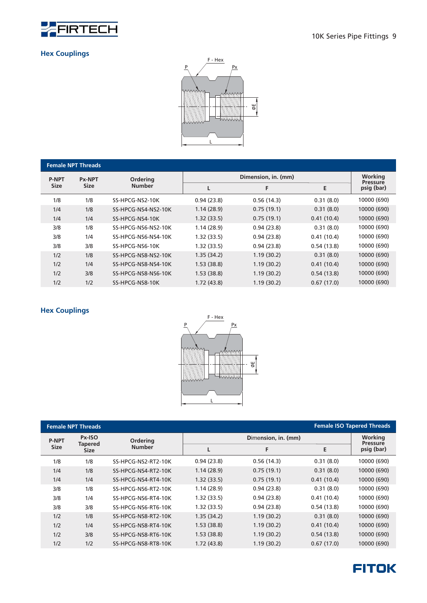

#### **Hex Couplings**



| <b>Female NPT Threads</b> |               |                     |            |                     |            |                               |  |  |  |  |  |
|---------------------------|---------------|---------------------|------------|---------------------|------------|-------------------------------|--|--|--|--|--|
| <b>P-NPT</b>              | <b>Px-NPT</b> | <b>Ordering</b>     |            | Dimension, in. (mm) |            |                               |  |  |  |  |  |
| <b>Size</b>               | <b>Size</b>   | <b>Number</b>       | L          | F                   | E          | <b>Pressure</b><br>psig (bar) |  |  |  |  |  |
| 1/8                       | 1/8           | SS-HPCG-NS2-10K     | 0.94(23.8) | 0.56(14.3)          | 0.31(8.0)  | 10000 (690)                   |  |  |  |  |  |
| 1/4                       | 1/8           | SS-HPCG-NS4-NS2-10K | 1.14(28.9) | 0.75(19.1)          | 0.31(8.0)  | 10000 (690)                   |  |  |  |  |  |
| 1/4                       | 1/4           | SS-HPCG-NS4-10K     | 1.32(33.5) | 0.75(19.1)          | 0.41(10.4) | 10000 (690)                   |  |  |  |  |  |
| 3/8                       | 1/8           | SS-HPCG-NS6-NS2-10K | 1.14(28.9) | 0.94(23.8)          | 0.31(8.0)  | 10000 (690)                   |  |  |  |  |  |
| 3/8                       | 1/4           | SS-HPCG-NS6-NS4-10K | 1.32(33.5) | 0.94(23.8)          | 0.41(10.4) | 10000 (690)                   |  |  |  |  |  |
| 3/8                       | 3/8           | SS-HPCG-NS6-10K     | 1.32(33.5) | 0.94(23.8)          | 0.54(13.8) | 10000 (690)                   |  |  |  |  |  |
| 1/2                       | 1/8           | SS-HPCG-NS8-NS2-10K | 1.35(34.2) | 1.19(30.2)          | 0.31(8.0)  | 10000 (690)                   |  |  |  |  |  |
| 1/2                       | 1/4           | SS-HPCG-NS8-NS4-10K | 1.53(38.8) | 1.19(30.2)          | 0.41(10.4) | 10000 (690)                   |  |  |  |  |  |
| 1/2                       | 3/8           | SS-HPCG-NS8-NS6-10K | 1.53(38.8) | 1.19(30.2)          | 0.54(13.8) | 10000 (690)                   |  |  |  |  |  |
| 1/2                       | 1/2           | SS-HPCG-NS8-10K     | 1.72(43.8) | 1.19(30.2)          | 0.67(17.0) | 10000 (690)                   |  |  |  |  |  |



|              | <b>Female NPT Threads</b>     |                           | <b>Female ISO Tapered Threads</b> |                     |            |                            |  |  |
|--------------|-------------------------------|---------------------------|-----------------------------------|---------------------|------------|----------------------------|--|--|
| <b>P-NPT</b> | Px-ISO                        | Ordering<br><b>Number</b> |                                   | Dimension, in. (mm) |            | Working<br><b>Pressure</b> |  |  |
| <b>Size</b>  | <b>Tapered</b><br><b>Size</b> |                           |                                   | F                   | E          | psig (bar)                 |  |  |
| 1/8          | 1/8                           | SS-HPCG-NS2-RT2-10K       | 0.94(23.8)                        | 0.56(14.3)          | 0.31(8.0)  | 10000 (690)                |  |  |
| 1/4          | 1/8                           | SS-HPCG-NS4-RT2-10K       | 1.14(28.9)                        | 0.75(19.1)          | 0.31(8.0)  | 10000 (690)                |  |  |
| 1/4          | 1/4                           | SS-HPCG-NS4-RT4-10K       | 1.32(33.5)                        | 0.75(19.1)          | 0.41(10.4) | 10000 (690)                |  |  |
| 3/8          | 1/8                           | SS-HPCG-NS6-RT2-10K       | 1.14(28.9)                        | 0.94(23.8)          | 0.31(8.0)  | 10000 (690)                |  |  |
| 3/8          | 1/4                           | SS-HPCG-NS6-RT4-10K       | 1.32(33.5)                        | 0.94(23.8)          | 0.41(10.4) | 10000 (690)                |  |  |
| 3/8          | 3/8                           | SS-HPCG-NS6-RT6-10K       | 1.32(33.5)                        | 0.94(23.8)          | 0.54(13.8) | 10000 (690)                |  |  |
| 1/2          | 1/8                           | SS-HPCG-NS8-RT2-10K       | 1.35(34.2)                        | 1.19(30.2)          | 0.31(8.0)  | 10000 (690)                |  |  |
| 1/2          | 1/4                           | SS-HPCG-NS8-RT4-10K       | 1.53(38.8)                        | 1.19(30.2)          | 0.41(10.4) | 10000 (690)                |  |  |
| 1/2          | 3/8                           | SS-HPCG-NS8-RT6-10K       | 1.53(38.8)                        | 1.19(30.2)          | 0.54(13.8) | 10000 (690)                |  |  |
| 1/2          | 1/2                           | SS-HPCG-NS8-RT8-10K       | 1.72(43.8)                        | 1.19(30.2)          | 0.67(17.0) | 10000 (690)                |  |  |

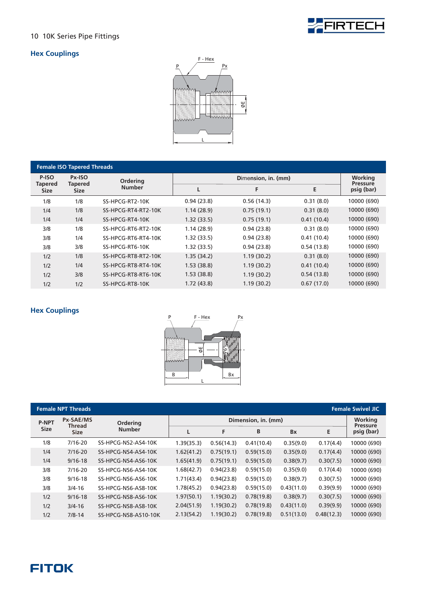



| <b>Female ISO Tapered Threads</b> |                          |                     |            |                     |            |                               |  |  |  |
|-----------------------------------|--------------------------|---------------------|------------|---------------------|------------|-------------------------------|--|--|--|
| P-ISO<br><b>Tapered</b>           | Px-ISO<br><b>Tapered</b> | Ordering            |            | Dimension, in. (mm) |            |                               |  |  |  |
| <b>Size</b>                       | <b>Size</b>              | <b>Number</b>       | L          | F                   | E          | <b>Pressure</b><br>psig (bar) |  |  |  |
| 1/8                               | 1/8                      | SS-HPCG-RT2-10K     | 0.94(23.8) | 0.56(14.3)          | 0.31(8.0)  | 10000 (690)                   |  |  |  |
| 1/4                               | 1/8                      | SS-HPCG-RT4-RT2-10K | 1.14(28.9) | 0.75(19.1)          | 0.31(8.0)  | 10000 (690)                   |  |  |  |
| 1/4                               | 1/4                      | SS-HPCG-RT4-10K     | 1.32(33.5) | 0.75(19.1)          | 0.41(10.4) | 10000 (690)                   |  |  |  |
| 3/8                               | 1/8                      | SS-HPCG-RT6-RT2-10K | 1.14(28.9) | 0.94(23.8)          | 0.31(8.0)  | 10000 (690)                   |  |  |  |
| 3/8                               | 1/4                      | SS-HPCG-RT6-RT4-10K | 1.32(33.5) | 0.94(23.8)          | 0.41(10.4) | 10000 (690)                   |  |  |  |
| 3/8                               | 3/8                      | SS-HPCG-RT6-10K     | 1.32(33.5) | 0.94(23.8)          | 0.54(13.8) | 10000 (690)                   |  |  |  |
| 1/2                               | 1/8                      | SS-HPCG-RT8-RT2-10K | 1.35(34.2) | 1.19(30.2)          | 0.31(8.0)  | 10000 (690)                   |  |  |  |
| 1/2                               | 1/4                      | SS-HPCG-RT8-RT4-10K | 1.53(38.8) | 1.19(30.2)          | 0.41(10.4) | 10000 (690)                   |  |  |  |
| 1/2                               | 3/8                      | SS-HPCG-RT8-RT6-10K | 1.53(38.8) | 1.19(30.2)          | 0.54(13.8) | 10000 (690)                   |  |  |  |
| 1/2                               | 1/2                      | SS-HPCG-RT8-10K     | 1.72(43.8) | 1.19(30.2)          | 0.67(17.0) | 10000 (690)                   |  |  |  |



|              | <b>Female NPT Threads</b> |                      |            |                     |            |            |            | <b>Female Swivel JIC</b>      |
|--------------|---------------------------|----------------------|------------|---------------------|------------|------------|------------|-------------------------------|
| <b>P-NPT</b> | Px-SAE/MS<br>Thread       | <b>Ordering</b>      |            | Dimension, in. (mm) |            |            |            |                               |
| <b>Size</b>  | <b>Size</b>               | <b>Number</b>        |            | F                   | B          | <b>Bx</b>  | Е          | <b>Pressure</b><br>psig (bar) |
| 1/8          | $7/16 - 20$               | SS-HPCG-NS2-AS4-10K  | 1.39(35.3) | 0.56(14.3)          | 0.41(10.4) | 0.35(9.0)  | 0.17(4.4)  | 10000 (690)                   |
| 1/4          | $7/16 - 20$               | SS-HPCG-NS4-AS4-10K  | 1.62(41.2) | 0.75(19.1)          | 0.59(15.0) | 0.35(9.0)  | 0.17(4.4)  | 10000 (690)                   |
| 1/4          | $9/16 - 18$               | SS-HPCG-NS4-AS6-10K  | 1.65(41.9) | 0.75(19.1)          | 0.59(15.0) | 0.38(9.7)  | 0.30(7.5)  | 10000 (690)                   |
| 3/8          | $7/16 - 20$               | SS-HPCG-NS6-AS4-10K  | 1.68(42.7) | 0.94(23.8)          | 0.59(15.0) | 0.35(9.0)  | 0.17(4.4)  | 10000 (690)                   |
| 3/8          | $9/16 - 18$               | SS-HPCG-NS6-AS6-10K  | 1.71(43.4) | 0.94(23.8)          | 0.59(15.0) | 0.38(9.7)  | 0.30(7.5)  | 10000 (690)                   |
| 3/8          | $3/4 - 16$                | SS-HPCG-NS6-AS8-10K  | 1.78(45.2) | 0.94(23.8)          | 0.59(15.0) | 0.43(11.0) | 0.39(9.9)  | 10000 (690)                   |
| 1/2          | $9/16 - 18$               | SS-HPCG-NS8-AS6-10K  | 1.97(50.1) | 1.19(30.2)          | 0.78(19.8) | 0.38(9.7)  | 0.30(7.5)  | 10000 (690)                   |
| 1/2          | $3/4 - 16$                | SS-HPCG-NS8-AS8-10K  | 2.04(51.9) | 1.19(30.2)          | 0.78(19.8) | 0.43(11.0) | 0.39(9.9)  | 10000 (690)                   |
| 1/2          | $7/8 - 14$                | SS-HPCG-NS8-AS10-10K | 2.13(54.2) | 1.19(30.2)          | 0.78(19.8) | 0.51(13.0) | 0.48(12.3) | 10000 (690)                   |

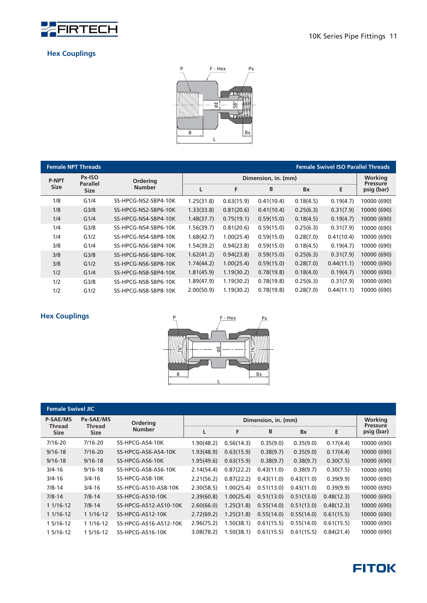

#### **Hex Couplings**



|              | <b>Female NPT Threads</b> |                      |            |                     |            |           | <b>Female Swivel ISO Parallel Threads</b> |                               |  |
|--------------|---------------------------|----------------------|------------|---------------------|------------|-----------|-------------------------------------------|-------------------------------|--|
| <b>P-NPT</b> | Px-ISO<br><b>Parallel</b> | <b>Ordering</b>      |            | Dimension, in. (mm) |            |           |                                           |                               |  |
| <b>Size</b>  | <b>Size</b>               | <b>Number</b>        |            | F                   | B          | <b>Bx</b> | Ε                                         | <b>Pressure</b><br>psig (bar) |  |
| 1/8          | G1/4                      | SS-HPCG-NS2-SBP4-10K | 1.25(31.8) | 0.63(15.9)          | 0.41(10.4) | 0.18(4.5) | 0.19(4.7)                                 | 10000 (690)                   |  |
| 1/8          | G <sub>3/8</sub>          | SS-HPCG-NS2-SBP6-10K | 1.33(33.8) | 0.81(20.6)          | 0.41(10.4) | 0.25(6.3) | 0.31(7.9)                                 | 10000 (690)                   |  |
| 1/4          | G1/4                      | SS-HPCG-NS4-SBP4-10K | 1.48(37.7) | 0.75(19.1)          | 0.59(15.0) | 0.18(4.5) | 0.19(4.7)                                 | 10000 (690)                   |  |
| 1/4          | G <sub>3/8</sub>          | SS-HPCG-NS4-SBP6-10K | 1.56(39.7) | 0.81(20.6)          | 0.59(15.0) | 0.25(6.3) | 0.31(7.9)                                 | 10000 (690)                   |  |
| 1/4          | G1/2                      | SS-HPCG-NS4-SBP8-10K | 1.68(42.7) | 1.00(25.4)          | 0.59(15.0) | 0.28(7.0) | 0.41(10.4)                                | 10000 (690)                   |  |
| 3/8          | G1/4                      | SS-HPCG-NS6-SBP4-10K | 1.54(39.2) | 0.94(23.8)          | 0.59(15.0) | 0.18(4.5) | 0.19(4.7)                                 | 10000 (690)                   |  |
| 3/8          | G <sub>3/8</sub>          | SS-HPCG-NS6-SBP6-10K | 1.62(41.2) | 0.94(23.8)          | 0.59(15.0) | 0.25(6.3) | 0.31(7.9)                                 | 10000 (690)                   |  |
| 3/8          | G1/2                      | SS-HPCG-NS6-SBP8-10K | 1.74(44.2) | 1.00(25.4)          | 0.59(15.0) | 0.28(7.0) | 0.44(11.1)                                | 10000 (690)                   |  |
| 1/2          | G1/4                      | SS-HPCG-NS8-SBP4-10K | 1.81(45.9) | 1.19(30.2)          | 0.78(19.8) | 0.18(4.0) | 0.19(4.7)                                 | 10000 (690)                   |  |
| 1/2          | G <sub>3/8</sub>          | SS-HPCG-NS8-SBP6-10K | 1.89(47.9) | 1.19(30.2)          | 0.78(19.8) | 0.25(6.3) | 0.31(7.9)                                 | 10000 (690)                   |  |
| 1/2          | G1/2                      | SS-HPCG-NS8-SBP8-10K | 2.00(50.9) | 1.19(30.2)          | 0.78(19.8) | 0.28(7.0) | 0.44(11.1)                                | 10000 (690)                   |  |



|                                  | <b>Female Swivel JIC</b> |                       |            |                            |            |            |            |             |
|----------------------------------|--------------------------|-----------------------|------------|----------------------------|------------|------------|------------|-------------|
| <b>P-SAE/MS</b><br><b>Thread</b> | Px-SAE/MS<br>Thread      | Ordering              |            | Working<br><b>Pressure</b> |            |            |            |             |
| <b>Size</b>                      | <b>Size</b>              | <b>Number</b>         | L          | F                          | B          | <b>Bx</b>  | Ε          | psig (bar)  |
| 7/16-20                          | 7/16-20                  | SS-HPCG-AS4-10K       | 1.90(48.2) | 0.56(14.3)                 | 0.35(9.0)  | 0.35(9.0)  | 0.17(4.4)  | 10000 (690) |
| $9/16 - 18$                      | $7/16 - 20$              | SS-HPCG-AS6-AS4-10K   | 1.93(48.9) | 0.63(15.9)                 | 0.38(9.7)  | 0.35(9.0)  | 0.17(4.4)  | 10000 (690) |
| $9/16 - 18$                      | $9/16 - 18$              | SS-HPCG-AS6-10K       | 1.95(49.6) | 0.63(15.9)                 | 0.38(9.7)  | 0.38(9.7)  | 0.30(7.5)  | 10000 (690) |
| $3/4 - 16$                       | $9/16 - 18$              | SS-HPCG-AS8-AS6-10K   | 2.14(54.4) | 0.87(22.2)                 | 0.43(11.0) | 0.38(9.7)  | 0.30(7.5)  | 10000 (690) |
| $3/4 - 16$                       | $3/4 - 16$               | SS-HPCG-AS8-10K       | 2.21(56.2) | 0.87(22.2)                 | 0.43(11.0) | 0.43(11.0) | 0.39(9.9)  | 10000 (690) |
| $7/8 - 14$                       | $3/4 - 16$               | SS-HPCG-AS10-AS8-10K  | 2.30(58.5) | 1.00(25.4)                 | 0.51(13.0) | 0.43(11.0) | 0.39(9.9)  | 10000 (690) |
| $7/8 - 14$                       | $7/8 - 14$               | SS-HPCG-AS10-10K      | 2.39(60.8) | 1.00(25.4)                 | 0.51(13.0) | 0.51(13.0) | 0.48(12.3) | 10000 (690) |
| $11/16-12$                       | $7/8 - 14$               | SS-HPCG-AS12-AS10-10K | 2.60(66.0) | 1.25(31.8)                 | 0.55(14.0) | 0.51(13.0) | 0.48(12.3) | 10000 (690) |
| $11/16-12$                       | $11/16-12$               | SS-HPCG-AS12-10K      | 2.72(69.2) | 1.25(31.8)                 | 0.55(14.0) | 0.55(14.0) | 0.61(15.5) | 10000 (690) |
| 1 5/16-12                        | 1 1/16-12                | SS-HPCG-AS16-AS12-10K | 2.96(75.2) | 1.50(38.1)                 | 0.61(15.5) | 0.55(14.0) | 0.61(15.5) | 10000 (690) |
| 1 5/16-12                        | 1 5/16-12                | SS-HPCG-AS16-10K      | 3.08(78.2) | 1.50(38.1)                 | 0.61(15.5) | 0.61(15.5) | 0.84(21.4) | 10000 (690) |

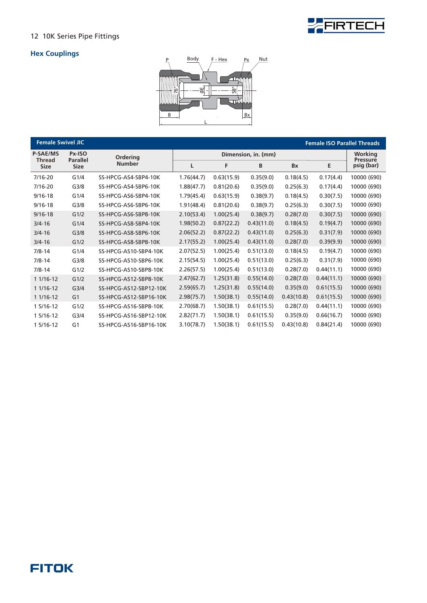

### **Hex Couplings**



| <b>Female Swivel JIC</b>     |                           |                        |            |            |                     |            | <b>Female ISO Parallel Threads</b> |                            |
|------------------------------|---------------------------|------------------------|------------|------------|---------------------|------------|------------------------------------|----------------------------|
| <b>P-SAE/MS</b>              | Px-ISO<br><b>Parallel</b> | Ordering               |            |            | Dimension, in. (mm) |            |                                    | Working<br><b>Pressure</b> |
| <b>Thread</b><br><b>Size</b> | <b>Size</b>               | <b>Number</b>          | L          | F          | B                   | Bx         | Е                                  | psig (bar)                 |
| $7/16 - 20$                  | G1/4                      | SS-HPCG-AS4-SBP4-10K   | 1.76(44.7) | 0.63(15.9) | 0.35(9.0)           | 0.18(4.5)  | 0.17(4.4)                          | 10000 (690)                |
| $7/16 - 20$                  | G <sub>3/8</sub>          | SS-HPCG-AS4-SBP6-10K   | 1.88(47.7) | 0.81(20.6) | 0.35(9.0)           | 0.25(6.3)  | 0.17(4.4)                          | 10000 (690)                |
| $9/16 - 18$                  | G1/4                      | SS-HPCG-AS6-SBP4-10K   | 1.79(45.4) | 0.63(15.9) | 0.38(9.7)           | 0.18(4.5)  | 0.30(7.5)                          | 10000 (690)                |
| $9/16 - 18$                  | G <sub>3/8</sub>          | SS-HPCG-AS6-SBP6-10K   | 1.91(48.4) | 0.81(20.6) | 0.38(9.7)           | 0.25(6.3)  | 0.30(7.5)                          | 10000 (690)                |
| $9/16 - 18$                  | G1/2                      | SS-HPCG-AS6-SBP8-10K   | 2.10(53.4) | 1.00(25.4) | 0.38(9.7)           | 0.28(7.0)  | 0.30(7.5)                          | 10000 (690)                |
| $3/4 - 16$                   | G1/4                      | SS-HPCG-AS8-SBP4-10K   | 1.98(50.2) | 0.87(22.2) | 0.43(11.0)          | 0.18(4.5)  | 0.19(4.7)                          | 10000 (690)                |
| $3/4 - 16$                   | G <sub>3/8</sub>          | SS-HPCG-AS8-SBP6-10K   | 2.06(52.2) | 0.87(22.2) | 0.43(11.0)          | 0.25(6.3)  | 0.31(7.9)                          | 10000 (690)                |
| $3/4 - 16$                   | G1/2                      | SS-HPCG-AS8-SBP8-10K   | 2.17(55.2) | 1.00(25.4) | 0.43(11.0)          | 0.28(7.0)  | 0.39(9.9)                          | 10000 (690)                |
| $7/8 - 14$                   | G1/4                      | SS-HPCG-AS10-SBP4-10K  | 2.07(52.5) | 1.00(25.4) | 0.51(13.0)          | 0.18(4.5)  | 0.19(4.7)                          | 10000 (690)                |
| $7/8 - 14$                   | G <sub>3/8</sub>          | SS-HPCG-AS10-SBP6-10K  | 2.15(54.5) | 1.00(25.4) | 0.51(13.0)          | 0.25(6.3)  | 0.31(7.9)                          | 10000 (690)                |
| $7/8 - 14$                   | G1/2                      | SS-HPCG-AS10-SBP8-10K  | 2.26(57.5) | 1.00(25.4) | 0.51(13.0)          | 0.28(7.0)  | 0.44(11.1)                         | 10000 (690)                |
| $11/16-12$                   | G1/2                      | SS-HPCG-AS12-SBP8-10K  | 2.47(62.7) | 1.25(31.8) | 0.55(14.0)          | 0.28(7.0)  | 0.44(11.1)                         | 10000 (690)                |
| 1 1/16-12                    | G <sub>3/4</sub>          | SS-HPCG-AS12-SBP12-10K | 2.59(65.7) | 1.25(31.8) | 0.55(14.0)          | 0.35(9.0)  | 0.61(15.5)                         | 10000 (690)                |
| $11/16-12$                   | G <sub>1</sub>            | SS-HPCG-AS12-SBP16-10K | 2.98(75.7) | 1.50(38.1) | 0.55(14.0)          | 0.43(10.8) | 0.61(15.5)                         | 10000 (690)                |
| 1 5/16-12                    | G1/2                      | SS-HPCG-AS16-SBP8-10K  | 2.70(68.7) | 1.50(38.1) | 0.61(15.5)          | 0.28(7.0)  | 0.44(11.1)                         | 10000 (690)                |
| 1 5/16-12                    | G <sub>3/4</sub>          | SS-HPCG-AS16-SBP12-10K | 2.82(71.7) | 1.50(38.1) | 0.61(15.5)          | 0.35(9.0)  | 0.66(16.7)                         | 10000 (690)                |
| 1 5/16-12                    | G1                        | SS-HPCG-AS16-SBP16-10K | 3.10(78.7) | 1.50(38.1) | 0.61(15.5)          | 0.43(10.8) | 0.84(21.4)                         | 10000 (690)                |

### **FITOK**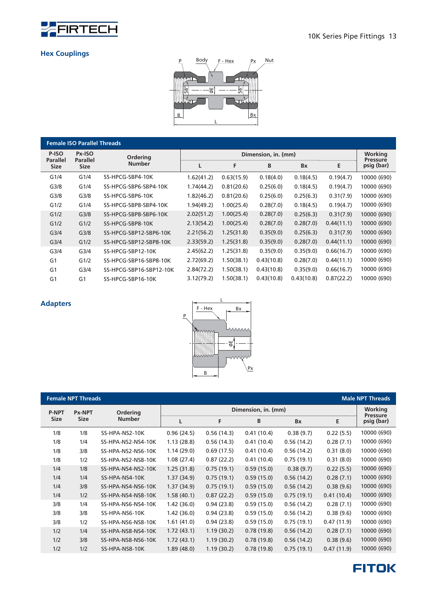



| <b>Female ISO Parallel Threads</b> |                         |                         |            |                     |            |            |            |                               |  |  |
|------------------------------------|-------------------------|-------------------------|------------|---------------------|------------|------------|------------|-------------------------------|--|--|
| P-ISO                              | Px-ISO                  | <b>Ordering</b>         |            | Dimension, in. (mm) |            |            |            |                               |  |  |
| <b>Parallel</b><br><b>Size</b>     | <b>Parallel</b><br>Size | <b>Number</b>           | L          | F.                  | B          | <b>Bx</b>  | Е          | <b>Pressure</b><br>psig (bar) |  |  |
| G1/4                               | G1/4                    | SS-HPCG-SBP4-10K        | 1.62(41.2) | 0.63(15.9)          | 0.18(4.0)  | 0.18(4.5)  | 0.19(4.7)  | 10000 (690)                   |  |  |
| G <sub>3/8</sub>                   | G1/4                    | SS-HPCG-SBP6-SBP4-10K   | 1.74(44.2) | 0.81(20.6)          | 0.25(6.0)  | 0.18(4.5)  | 0.19(4.7)  | 10000 (690)                   |  |  |
| G <sub>3/8</sub>                   | G <sub>3/8</sub>        | SS-HPCG-SBP6-10K        | 1.82(46.2) | 0.81(20.6)          | 0.25(6.0)  | 0.25(6.3)  | 0.31(7.9)  | 10000 (690)                   |  |  |
| G1/2                               | G1/4                    | SS-HPCG-SBP8-SBP4-10K   | 1.94(49.2) | 1.00(25.4)          | 0.28(7.0)  | 0.18(4.5)  | 0.19(4.7)  | 10000 (690)                   |  |  |
| G1/2                               | G <sub>3/8</sub>        | SS-HPCG-SBP8-SBP6-10K   | 2.02(51.2) | 1.00(25.4)          | 0.28(7.0)  | 0.25(6.3)  | 0.31(7.9)  | 10000 (690)                   |  |  |
| G1/2                               | G1/2                    | SS-HPCG-SBP8-10K        | 2.13(54.2) | 1.00(25.4)          | 0.28(7.0)  | 0.28(7.0)  | 0.44(11.1) | 10000 (690)                   |  |  |
| G <sub>3/4</sub>                   | G <sub>3/8</sub>        | SS-HPCG-SBP12-SBP6-10K  | 2.21(56.2) | 1.25(31.8)          | 0.35(9.0)  | 0.25(6.3)  | 0.31(7.9)  | 10000 (690)                   |  |  |
| G <sub>3/4</sub>                   | G1/2                    | SS-HPCG-SBP12-SBP8-10K  | 2.33(59.2) | 1.25(31.8)          | 0.35(9.0)  | 0.28(7.0)  | 0.44(11.1) | 10000 (690)                   |  |  |
| G <sub>3/4</sub>                   | G <sub>3/4</sub>        | SS-HPCG-SBP12-10K       | 2.45(62.2) | 1.25(31.8)          | 0.35(9.0)  | 0.35(9.0)  | 0.66(16.7) | 10000 (690)                   |  |  |
| G <sub>1</sub>                     | G1/2                    | SS-HPCG-SBP16-SBP8-10K  | 2.72(69.2) | 1.50(38.1)          | 0.43(10.8) | 0.28(7.0)  | 0.44(11.1) | 10000 (690)                   |  |  |
| G <sub>1</sub>                     | G <sub>3/4</sub>        | SS-HPCG-SBP16-SBP12-10K | 2.84(72.2) | 1.50(38.1)          | 0.43(10.8) | 0.35(9.0)  | 0.66(16.7) | 10000 (690)                   |  |  |
| G <sub>1</sub>                     | G <sub>1</sub>          | SS-HPCG-SBP16-10K       | 3.12(79.2) | 1.50(38.1)          | 0.43(10.8) | 0.43(10.8) | 0.87(22.2) | 10000 (690)                   |  |  |



|              | <b>Female NPT Threads</b> |                    |            |            |                     |            |            | <b>Male NPT Threads</b>           |
|--------------|---------------------------|--------------------|------------|------------|---------------------|------------|------------|-----------------------------------|
| <b>P-NPT</b> | <b>Px-NPT</b>             | <b>Ordering</b>    |            |            | Dimension, in. (mm) |            |            | <b>Working</b><br><b>Pressure</b> |
| <b>Size</b>  | <b>Size</b>               | <b>Number</b>      | L          | F          | B                   | <b>Bx</b>  | E          | psig (bar)                        |
| 1/8          | 1/8                       | SS-HPA-NS2-10K     | 0.96(24.5) | 0.56(14.3) | 0.41(10.4)          | 0.38(9.7)  | 0.22(5.5)  | 10000 (690)                       |
| 1/8          | 1/4                       | SS-HPA-NS2-NS4-10K | 1.13(28.8) | 0.56(14.3) | 0.41(10.4)          | 0.56(14.2) | 0.28(7.1)  | 10000 (690)                       |
| 1/8          | 3/8                       | SS-HPA-NS2-NS6-10K | 1.14(29.0) | 0.69(17.5) | 0.41(10.4)          | 0.56(14.2) | 0.31(8.0)  | 10000 (690)                       |
| 1/8          | 1/2                       | SS-HPA-NS2-NS8-10K | 1.08(27.4) | 0.87(22.2) | 0.41(10.4)          | 0.75(19.1) | 0.31(8.0)  | 10000 (690)                       |
| 1/4          | 1/8                       | SS-HPA-NS4-NS2-10K | 1.25(31.8) | 0.75(19.1) | 0.59(15.0)          | 0.38(9.7)  | 0.22(5.5)  | 10000 (690)                       |
| 1/4          | 1/4                       | SS-HPA-NS4-10K     | 1.37(34.9) | 0.75(19.1) | 0.59(15.0)          | 0.56(14.2) | 0.28(7.1)  | 10000 (690)                       |
| 1/4          | 3/8                       | SS-HPA-NS4-NS6-10K | 1.37(34.9) | 0.75(19.1) | 0.59(15.0)          | 0.56(14.2) | 0.38(9.6)  | 10000 (690)                       |
| 1/4          | 1/2                       | SS-HPA-NS4-NS8-10K | 1.58(40.1) | 0.87(22.2) | 0.59(15.0)          | 0.75(19.1) | 0.41(10.4) | 10000 (690)                       |
| 3/8          | 1/4                       | SS-HPA-NS6-NS4-10K | 1.42(36.0) | 0.94(23.8) | 0.59(15.0)          | 0.56(14.2) | 0.28(7.1)  | 10000 (690)                       |
| 3/8          | 3/8                       | SS-HPA-NS6-10K     | 1.42(36.0) | 0.94(23.8) | 0.59(15.0)          | 0.56(14.2) | 0.38(9.6)  | 10000 (690)                       |
| 3/8          | 1/2                       | SS-HPA-NS6-NS8-10K | 1.61(41.0) | 0.94(23.8) | 0.59(15.0)          | 0.75(19.1) | 0.47(11.9) | 10000 (690)                       |
| 1/2          | 1/4                       | SS-HPA-NS8-NS4-10K | 1.72(43.1) | 1.19(30.2) | 0.78(19.8)          | 0.56(14.2) | 0.28(7.1)  | 10000 (690)                       |
| 1/2          | 3/8                       | SS-HPA-NS8-NS6-10K | 1.72(43.1) | 1.19(30.2) | 0.78(19.8)          | 0.56(14.2) | 0.38(9.6)  | 10000 (690)                       |
| 1/2          | 1/2                       | SS-HPA-NS8-10K     | 1.89(48.0) | 1.19(30.2) | 0.78(19.8)          | 0.75(19.1) | 0.47(11.9) | 10000 (690)                       |

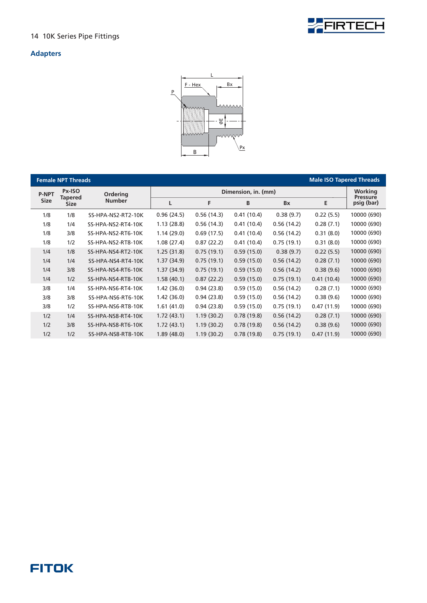

#### **Adapters**



|              | <b>Female NPT Threads</b> |                    |            |            |                     |            | <b>Male ISO Tapered Threads</b> |                            |
|--------------|---------------------------|--------------------|------------|------------|---------------------|------------|---------------------------------|----------------------------|
| <b>P-NPT</b> | Px-ISO                    | <b>Ordering</b>    |            |            | Dimension, in. (mm) |            |                                 | Working<br><b>Pressure</b> |
| <b>Size</b>  | Tapered<br><b>Size</b>    | <b>Number</b>      | L          | F          | B                   | Bx         | Е                               | psig (bar)                 |
| 1/8          | 1/8                       | SS-HPA-NS2-RT2-10K | 0.96(24.5) | 0.56(14.3) | 0.41(10.4)          | 0.38(9.7)  | 0.22(5.5)                       | 10000 (690)                |
| 1/8          | 1/4                       | SS-HPA-NS2-RT4-10K | 1.13(28.8) | 0.56(14.3) | 0.41(10.4)          | 0.56(14.2) | 0.28(7.1)                       | 10000 (690)                |
| 1/8          | 3/8                       | SS-HPA-NS2-RT6-10K | 1.14(29.0) | 0.69(17.5) | 0.41(10.4)          | 0.56(14.2) | 0.31(8.0)                       | 10000 (690)                |
| 1/8          | 1/2                       | SS-HPA-NS2-RT8-10K | 1.08(27.4) | 0.87(22.2) | 0.41(10.4)          | 0.75(19.1) | 0.31(8.0)                       | 10000 (690)                |
| 1/4          | 1/8                       | SS-HPA-NS4-RT2-10K | 1.25(31.8) | 0.75(19.1) | 0.59(15.0)          | 0.38(9.7)  | 0.22(5.5)                       | 10000 (690)                |
| 1/4          | 1/4                       | SS-HPA-NS4-RT4-10K | 1.37(34.9) | 0.75(19.1) | 0.59(15.0)          | 0.56(14.2) | 0.28(7.1)                       | 10000 (690)                |
| 1/4          | 3/8                       | SS-HPA-NS4-RT6-10K | 1.37(34.9) | 0.75(19.1) | 0.59(15.0)          | 0.56(14.2) | 0.38(9.6)                       | 10000 (690)                |
| 1/4          | 1/2                       | SS-HPA-NS4-RT8-10K | 1.58(40.1) | 0.87(22.2) | 0.59(15.0)          | 0.75(19.1) | 0.41(10.4)                      | 10000 (690)                |
| 3/8          | 1/4                       | SS-HPA-NS6-RT4-10K | 1.42(36.0) | 0.94(23.8) | 0.59(15.0)          | 0.56(14.2) | 0.28(7.1)                       | 10000 (690)                |
| 3/8          | 3/8                       | SS-HPA-NS6-RT6-10K | 1.42(36.0) | 0.94(23.8) | 0.59(15.0)          | 0.56(14.2) | 0.38(9.6)                       | 10000 (690)                |
| 3/8          | 1/2                       | SS-HPA-NS6-RT8-10K | 1.61(41.0) | 0.94(23.8) | 0.59(15.0)          | 0.75(19.1) | 0.47(11.9)                      | 10000 (690)                |
| 1/2          | 1/4                       | SS-HPA-NS8-RT4-10K | 1.72(43.1) | 1.19(30.2) | 0.78(19.8)          | 0.56(14.2) | 0.28(7.1)                       | 10000 (690)                |
| 1/2          | 3/8                       | SS-HPA-NS8-RT6-10K | 1.72(43.1) | 1.19(30.2) | 0.78(19.8)          | 0.56(14.2) | 0.38(9.6)                       | 10000 (690)                |
| 1/2          | 1/2                       | SS-HPA-NS8-RT8-10K | 1.89(48.0) | 1.19(30.2) | 0.78(19.8)          | 0.75(19.1) | 0.47(11.9)                      | 10000 (690)                |

### **FITOK**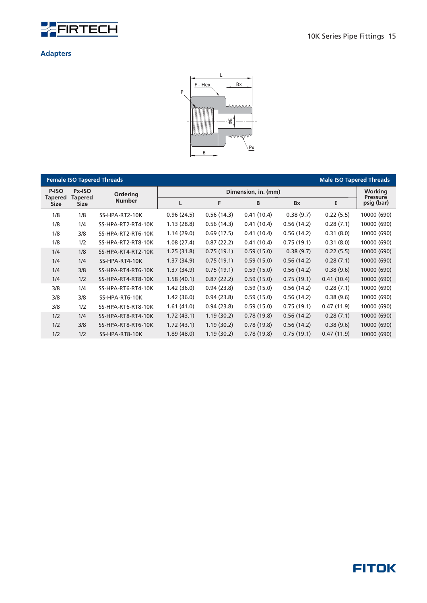



|                               |                               | <b>Female ISO Tapered Threads</b> |            |            |                     |            | <b>Male ISO Tapered Threads</b> |                                   |
|-------------------------------|-------------------------------|-----------------------------------|------------|------------|---------------------|------------|---------------------------------|-----------------------------------|
| P-ISO                         | Px-ISO                        | <b>Ordering</b>                   |            |            | Dimension, in. (mm) |            |                                 | <b>Working</b><br><b>Pressure</b> |
| <b>Tapered</b><br><b>Size</b> | <b>Tapered</b><br><b>Size</b> | <b>Number</b>                     | L          | F          | B                   | <b>Bx</b>  | E                               | psig (bar)                        |
| 1/8                           | 1/8                           | SS-HPA-RT2-10K                    | 0.96(24.5) | 0.56(14.3) | 0.41(10.4)          | 0.38(9.7)  | 0.22(5.5)                       | 10000 (690)                       |
| 1/8                           | 1/4                           | SS-HPA-RT2-RT4-10K                | 1.13(28.8) | 0.56(14.3) | 0.41(10.4)          | 0.56(14.2) | 0.28(7.1)                       | 10000 (690)                       |
| 1/8                           | 3/8                           | SS-HPA-RT2-RT6-10K                | 1.14(29.0) | 0.69(17.5) | 0.41(10.4)          | 0.56(14.2) | 0.31(8.0)                       | 10000 (690)                       |
| 1/8                           | 1/2                           | SS-HPA-RT2-RT8-10K                | 1.08(27.4) | 0.87(22.2) | 0.41(10.4)          | 0.75(19.1) | 0.31(8.0)                       | 10000 (690)                       |
| 1/4                           | 1/8                           | SS-HPA-RT4-RT2-10K                | 1.25(31.8) | 0.75(19.1) | 0.59(15.0)          | 0.38(9.7)  | 0.22(5.5)                       | 10000 (690)                       |
| 1/4                           | 1/4                           | SS-HPA-RT4-10K                    | 1.37(34.9) | 0.75(19.1) | 0.59(15.0)          | 0.56(14.2) | 0.28(7.1)                       | 10000 (690)                       |
| 1/4                           | 3/8                           | SS-HPA-RT4-RT6-10K                | 1.37(34.9) | 0.75(19.1) | 0.59(15.0)          | 0.56(14.2) | 0.38(9.6)                       | 10000 (690)                       |
| 1/4                           | 1/2                           | SS-HPA-RT4-RT8-10K                | 1.58(40.1) | 0.87(22.2) | 0.59(15.0)          | 0.75(19.1) | 0.41(10.4)                      | 10000 (690)                       |
| 3/8                           | 1/4                           | SS-HPA-RT6-RT4-10K                | 1.42(36.0) | 0.94(23.8) | 0.59(15.0)          | 0.56(14.2) | 0.28(7.1)                       | 10000 (690)                       |
| 3/8                           | 3/8                           | SS-HPA-RT6-10K                    | 1.42(36.0) | 0.94(23.8) | 0.59(15.0)          | 0.56(14.2) | 0.38(9.6)                       | 10000 (690)                       |
| 3/8                           | 1/2                           | SS-HPA-RT6-RT8-10K                | 1.61(41.0) | 0.94(23.8) | 0.59(15.0)          | 0.75(19.1) | 0.47(11.9)                      | 10000 (690)                       |
| 1/2                           | 1/4                           | SS-HPA-RT8-RT4-10K                | 1.72(43.1) | 1.19(30.2) | 0.78(19.8)          | 0.56(14.2) | 0.28(7.1)                       | 10000 (690)                       |
| 1/2                           | 3/8                           | SS-HPA-RT8-RT6-10K                | 1.72(43.1) | 1.19(30.2) | 0.78(19.8)          | 0.56(14.2) | 0.38(9.6)                       | 10000 (690)                       |
| 1/2                           | 1/2                           | SS-HPA-RT8-10K                    | 1.89(48.0) | 1.19(30.2) | 0.78(19.8)          | 0.75(19.1) | 0.47(11.9)                      | 10000 (690)                       |

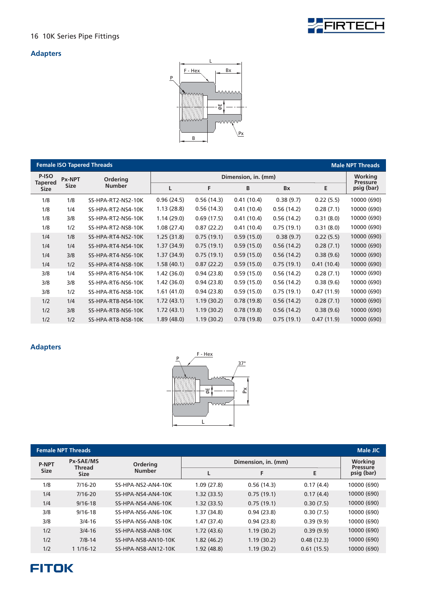

#### **Adapters**



|                               |               | <b>Female ISO Tapered Threads</b> |            |                            |            |            |            | <b>Male NPT Threads</b> |
|-------------------------------|---------------|-----------------------------------|------------|----------------------------|------------|------------|------------|-------------------------|
| P-ISO                         | <b>Px-NPT</b> | <b>Ordering</b>                   |            | Working<br><b>Pressure</b> |            |            |            |                         |
| <b>Tapered</b><br><b>Size</b> | <b>Size</b>   | <b>Number</b>                     | L          | F                          | B          | Bx         | Е          | psig (bar)              |
| 1/8                           | 1/8           | SS-HPA-RT2-NS2-10K                | 0.96(24.5) | 0.56(14.3)                 | 0.41(10.4) | 0.38(9.7)  | 0.22(5.5)  | 10000 (690)             |
| 1/8                           | 1/4           | SS-HPA-RT2-NS4-10K                | 1.13(28.8) | 0.56(14.3)                 | 0.41(10.4) | 0.56(14.2) | 0.28(7.1)  | 10000 (690)             |
| 1/8                           | 3/8           | SS-HPA-RT2-NS6-10K                | 1.14(29.0) | 0.69(17.5)                 | 0.41(10.4) | 0.56(14.2) | 0.31(8.0)  | 10000 (690)             |
| 1/8                           | 1/2           | SS-HPA-RT2-NS8-10K                | 1.08(27.4) | 0.87(22.2)                 | 0.41(10.4) | 0.75(19.1) | 0.31(8.0)  | 10000 (690)             |
| 1/4                           | 1/8           | SS-HPA-RT4-NS2-10K                | 1.25(31.8) | 0.75(19.1)                 | 0.59(15.0) | 0.38(9.7)  | 0.22(5.5)  | 10000 (690)             |
| 1/4                           | 1/4           | SS-HPA-RT4-NS4-10K                | 1.37(34.9) | 0.75(19.1)                 | 0.59(15.0) | 0.56(14.2) | 0.28(7.1)  | 10000 (690)             |
| 1/4                           | 3/8           | SS-HPA-RT4-NS6-10K                | 1.37(34.9) | 0.75(19.1)                 | 0.59(15.0) | 0.56(14.2) | 0.38(9.6)  | 10000 (690)             |
| 1/4                           | 1/2           | SS-HPA-RT4-NS8-10K                | 1.58(40.1) | 0.87(22.2)                 | 0.59(15.0) | 0.75(19.1) | 0.41(10.4) | 10000 (690)             |
| 3/8                           | 1/4           | SS-HPA-RT6-NS4-10K                | 1.42(36.0) | 0.94(23.8)                 | 0.59(15.0) | 0.56(14.2) | 0.28(7.1)  | 10000 (690)             |
| 3/8                           | 3/8           | SS-HPA-RT6-NS6-10K                | 1.42(36.0) | 0.94(23.8)                 | 0.59(15.0) | 0.56(14.2) | 0.38(9.6)  | 10000 (690)             |
| 3/8                           | 1/2           | SS-HPA-RT6-NS8-10K                | 1.61(41.0) | 0.94(23.8)                 | 0.59(15.0) | 0.75(19.1) | 0.47(11.9) | 10000 (690)             |
| 1/2                           | 1/4           | SS-HPA-RT8-NS4-10K                | 1.72(43.1) | 1.19(30.2)                 | 0.78(19.8) | 0.56(14.2) | 0.28(7.1)  | 10000 (690)             |
| 1/2                           | 3/8           | SS-HPA-RT8-NS6-10K                | 1.72(43.1) | 1.19(30.2)                 | 0.78(19.8) | 0.56(14.2) | 0.38(9.6)  | 10000 (690)             |
| 1/2                           | 1/2           | SS-HPA-RT8-NS8-10K                | 1.89(48.0) | 1.19(30.2)                 | 0.78(19.8) | 0.75(19.1) | 0.47(11.9) | 10000 (690)             |



| <b>Female NPT Threads</b><br><b>Male JIC</b> |                            |                     |                     |            |                                   |             |  |  |  |  |
|----------------------------------------------|----------------------------|---------------------|---------------------|------------|-----------------------------------|-------------|--|--|--|--|
| <b>P-NPT</b>                                 | Px-SAE/MS<br><b>Thread</b> | <b>Ordering</b>     | Dimension, in. (mm) |            | <b>Working</b><br><b>Pressure</b> |             |  |  |  |  |
| <b>Size</b>                                  | <b>Size</b>                | <b>Number</b>       |                     | F          | E                                 | psig (bar)  |  |  |  |  |
| 1/8                                          | $7/16 - 20$                | SS-HPA-NS2-AN4-10K  | 1.09(27.8)          | 0.56(14.3) | 0.17(4.4)                         | 10000 (690) |  |  |  |  |
| 1/4                                          | $7/16 - 20$                | SS-HPA-NS4-AN4-10K  | 1.32(33.5)          | 0.75(19.1) | 0.17(4.4)                         | 10000 (690) |  |  |  |  |
| 1/4                                          | $9/16 - 18$                | SS-HPA-NS4-AN6-10K  | 1.32(33.5)          | 0.75(19.1) | 0.30(7.5)                         | 10000 (690) |  |  |  |  |
| 3/8                                          | $9/16 - 18$                | SS-HPA-NS6-AN6-10K  | 1.37(34.8)          | 0.94(23.8) | 0.30(7.5)                         | 10000 (690) |  |  |  |  |
| 3/8                                          | $3/4 - 16$                 | SS-HPA-NS6-AN8-10K  | 1.47(37.4)          | 0.94(23.8) | 0.39(9.9)                         | 10000 (690) |  |  |  |  |
| 1/2                                          | $3/4 - 16$                 | SS-HPA-NS8-AN8-10K  | 1.72(43.6)          | 1.19(30.2) | 0.39(9.9)                         | 10000 (690) |  |  |  |  |
| 1/2                                          | $7/8 - 14$                 | SS-HPA-NS8-AN10-10K | 1.82(46.2)          | 1.19(30.2) | 0.48(12.3)                        | 10000 (690) |  |  |  |  |
| 1/2                                          | $11/16-12$                 | SS-HPA-NS8-AN12-10K | 1.92(48.8)          | 1.19(30.2) | 0.61(15.5)                        | 10000 (690) |  |  |  |  |

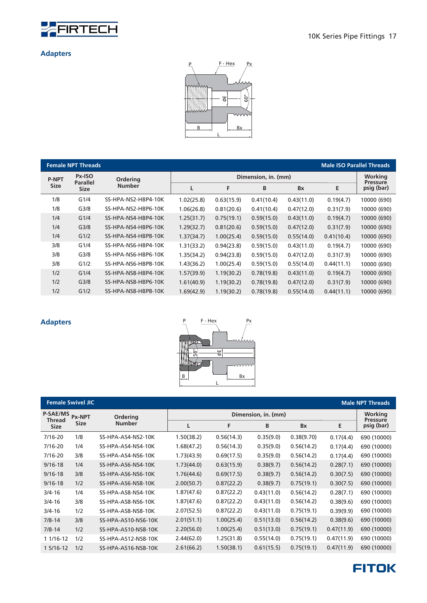



|              | <b>Female NPT Threads</b> |                     |            |            |                     |            |            | <b>Male ISO Parallel Threads</b> |
|--------------|---------------------------|---------------------|------------|------------|---------------------|------------|------------|----------------------------------|
| <b>P-NPT</b> | Px-ISO<br><b>Parallel</b> | <b>Ordering</b>     |            |            | Dimension, in. (mm) |            |            | Working<br><b>Pressure</b>       |
| <b>Size</b>  | <b>Size</b>               | <b>Number</b>       |            | F          | B                   | <b>Bx</b>  | E          | psig (bar)                       |
| 1/8          | G1/4                      | SS-HPA-NS2-HBP4-10K | 1.02(25.8) | 0.63(15.9) | 0.41(10.4)          | 0.43(11.0) | 0.19(4.7)  | 10000 (690)                      |
| 1/8          | G <sub>3/8</sub>          | SS-HPA-NS2-HBP6-10K | 1.06(26.8) | 0.81(20.6) | 0.41(10.4)          | 0.47(12.0) | 0.31(7.9)  | 10000 (690)                      |
| 1/4          | G1/4                      | SS-HPA-NS4-HBP4-10K | 1.25(31.7) | 0.75(19.1) | 0.59(15.0)          | 0.43(11.0) | 0.19(4.7)  | 10000 (690)                      |
| 1/4          | G <sub>3/8</sub>          | SS-HPA-NS4-HBP6-10K | 1.29(32.7) | 0.81(20.6) | 0.59(15.0)          | 0.47(12.0) | 0.31(7.9)  | 10000 (690)                      |
| 1/4          | G1/2                      | SS-HPA-NS4-HBP8-10K | 1.37(34.7) | 1.00(25.4) | 0.59(15.0)          | 0.55(14.0) | 0.41(10.4) | 10000 (690)                      |
| 3/8          | G1/4                      | SS-HPA-NS6-HBP4-10K | 1.31(33.2) | 0.94(23.8) | 0.59(15.0)          | 0.43(11.0) | 0.19(4.7)  | 10000 (690)                      |
| 3/8          | G <sub>3/8</sub>          | SS-HPA-NS6-HBP6-10K | 1.35(34.2) | 0.94(23.8) | 0.59(15.0)          | 0.47(12.0) | 0.31(7.9)  | 10000 (690)                      |
| 3/8          | G1/2                      | SS-HPA-NS6-HBP8-10K | 1.43(36.2) | 1.00(25.4) | 0.59(15.0)          | 0.55(14.0) | 0.44(11.1) | 10000 (690)                      |
| 1/2          | G1/4                      | SS-HPA-NS8-HBP4-10K | 1.57(39.9) | 1.19(30.2) | 0.78(19.8)          | 0.43(11.0) | 0.19(4.7)  | 10000 (690)                      |
| 1/2          | G <sub>3/8</sub>          | SS-HPA-NS8-HBP6-10K | 1.61(40.9) | 1.19(30.2) | 0.78(19.8)          | 0.47(12.0) | 0.31(7.9)  | 10000 (690)                      |
| 1/2          | G1/2                      | SS-HPA-NS8-HBP8-10K | 1.69(42.9) | 1.19(30.2) | 0.78(19.8)          | 0.55(14.0) | 0.44(11.1) | 10000 (690)                      |



|                           | <b>Female Swivel JIC</b> |                     |            |            |                                   |            |            | <b>Male NPT Threads</b> |
|---------------------------|--------------------------|---------------------|------------|------------|-----------------------------------|------------|------------|-------------------------|
| <b>P-SAE/MS</b><br>Thread | Px-NPT                   | <b>Ordering</b>     |            |            | <b>Working</b><br><b>Pressure</b> |            |            |                         |
| <b>Size</b>               | <b>Size</b>              | <b>Number</b>       | L          | F          | B                                 | <b>Bx</b>  | E          | psig (bar)              |
| $7/16 - 20$               | 1/8                      | SS-HPA-AS4-NS2-10K  | 1.50(38.2) | 0.56(14.3) | 0.35(9.0)                         | 0.38(9.70) | 0.17(4.4)  | 690 (10000)             |
| $7/16 - 20$               | 1/4                      | SS-HPA-AS4-NS4-10K  | 1.68(47.2) | 0.56(14.3) | 0.35(9.0)                         | 0.56(14.2) | 0.17(4.4)  | 690 (10000)             |
| $7/16 - 20$               | 3/8                      | SS-HPA-AS4-NS6-10K  | 1.73(43.9) | 0.69(17.5) | 0.35(9.0)                         | 0.56(14.2) | 0.17(4.4)  | 690 (10000)             |
| $9/16 - 18$               | 1/4                      | SS-HPA-AS6-NS4-10K  | 1.73(44.0) | 0.63(15.9) | 0.38(9.7)                         | 0.56(14.2) | 0.28(7.1)  | 690 (10000)             |
| $9/16 - 18$               | 3/8                      | SS-HPA-AS6-NS6-10K  | 1.76(44.6) | 0.69(17.5) | 0.38(9.7)                         | 0.56(14.2) | 0.30(7.5)  | 690 (10000)             |
| $9/16 - 18$               | 1/2                      | SS-HPA-AS6-NS8-10K  | 2.00(50.7) | 0.87(22.2) | 0.38(9.7)                         | 0.75(19.1) | 0.30(7.5)  | 690 (10000)             |
| $3/4 - 16$                | 1/4                      | SS-HPA-AS8-NS4-10K  | 1.87(47.6) | 0.87(22.2) | 0.43(11.0)                        | 0.56(14.2) | 0.28(7.1)  | 690 (10000)             |
| $3/4 - 16$                | 3/8                      | SS-HPA-AS8-NS6-10K  | 1.87(47.6) | 0.87(22.2) | 0.43(11.0)                        | 0.56(14.2) | 0.38(9.6)  | 690 (10000)             |
| $3/4 - 16$                | 1/2                      | SS-HPA-AS8-NS8-10K  | 2.07(52.5) | 0.87(22.2) | 0.43(11.0)                        | 0.75(19.1) | 0.39(9.9)  | 690 (10000)             |
| $7/8 - 14$                | 3/8                      | SS-HPA-AS10-NS6-10K | 2.01(51.1) | 1.00(25.4) | 0.51(13.0)                        | 0.56(14.2) | 0.38(9.6)  | 690 (10000)             |
| $7/8 - 14$                | 1/2                      | SS-HPA-AS10-NS8-10K | 2.20(56.0) | 1.00(25.4) | 0.51(13.0)                        | 0.75(19.1) | 0.47(11.9) | 690 (10000)             |
| 1 1/16-12                 | 1/2                      | SS-HPA-AS12-NS8-10K | 2.44(62.0) | 1.25(31.8) | 0.55(14.0)                        | 0.75(19.1) | 0.47(11.9) | 690 (10000)             |
| 1 5/16-12                 | 1/2                      | SS-HPA-AS16-NS8-10K | 2.61(66.2) | 1.50(38.1) | 0.61(15.5)                        | 0.75(19.1) | 0.47(11.9) | 690 (10000)             |

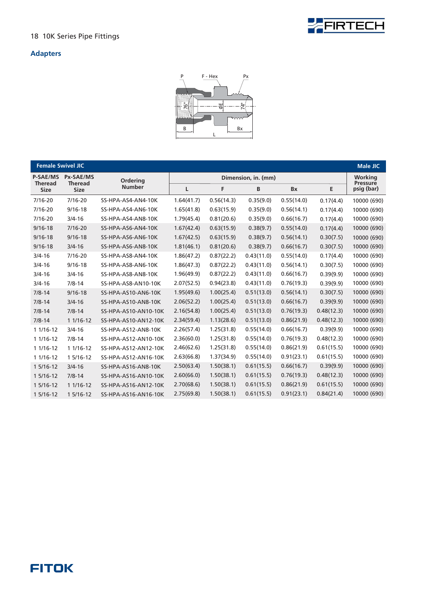



| <b>Female Swivel JIC</b>      |                               |                      |            |            |                     |            |            | <b>Male JIC</b>               |
|-------------------------------|-------------------------------|----------------------|------------|------------|---------------------|------------|------------|-------------------------------|
| <b>P-SAE/MS</b>               | Px-SAE/MS                     | Ordering             |            |            | Dimension, in. (mm) |            |            | Working                       |
| <b>Theread</b><br><b>Size</b> | <b>Theread</b><br><b>Size</b> | <b>Number</b>        | L          | F          | B                   | <b>Bx</b>  | E          | <b>Pressure</b><br>psig (bar) |
| $7/16 - 20$                   | $7/16 - 20$                   | SS-HPA-AS4-AN4-10K   | 1.64(41.7) | 0.56(14.3) | 0.35(9.0)           | 0.55(14.0) | 0.17(4.4)  | 10000 (690)                   |
| $7/16 - 20$                   | $9/16 - 18$                   | SS-HPA-AS4-AN6-10K   | 1.65(41.8) | 0.63(15.9) | 0.35(9.0)           | 0.56(14.1) | 0.17(4.4)  | 10000 (690)                   |
| $7/16 - 20$                   | $3/4 - 16$                    | SS-HPA-AS4-AN8-10K   | 1.79(45.4) | 0.81(20.6) | 0.35(9.0)           | 0.66(16.7) | 0.17(4.4)  | 10000 (690)                   |
| $9/16 - 18$                   | $7/16 - 20$                   | SS-HPA-AS6-AN4-10K   | 1.67(42.4) | 0.63(15.9) | 0.38(9.7)           | 0.55(14.0) | 0.17(4.4)  | 10000 (690)                   |
| $9/16 - 18$                   | $9/16 - 18$                   | SS-HPA-AS6-AN6-10K   | 1.67(42.5) | 0.63(15.9) | 0.38(9.7)           | 0.56(14.1) | 0.30(7.5)  | 10000 (690)                   |
| $9/16 - 18$                   | $3/4 - 16$                    | SS-HPA-AS6-AN8-10K   | 1.81(46.1) | 0.81(20.6) | 0.38(9.7)           | 0.66(16.7) | 0.30(7.5)  | 10000 (690)                   |
| $3/4 - 16$                    | $7/16 - 20$                   | SS-HPA-AS8-AN4-10K   | 1.86(47.2) | 0.87(22.2) | 0.43(11.0)          | 0.55(14.0) | 0.17(4.4)  | 10000 (690)                   |
| $3/4 - 16$                    | $9/16 - 18$                   | SS-HPA-AS8-AN6-10K   | 1.86(47.3) | 0.87(22.2) | 0.43(11.0)          | 0.56(14.1) | 0.30(7.5)  | 10000 (690)                   |
| $3/4 - 16$                    | $3/4 - 16$                    | SS-HPA-AS8-AN8-10K   | 1.96(49.9) | 0.87(22.2) | 0.43(11.0)          | 0.66(16.7) | 0.39(9.9)  | 10000 (690)                   |
| $3/4 - 16$                    | $7/8 - 14$                    | SS-HPA-AS8-AN10-10K  | 2.07(52.5) | 0.94(23.8) | 0.43(11.0)          | 0.76(19.3) | 0.39(9.9)  | 10000 (690)                   |
| $7/8 - 14$                    | $9/16 - 18$                   | SS-HPA-AS10-AN6-10K  | 1.95(49.6) | 1.00(25.4) | 0.51(13.0)          | 0.56(14.1) | 0.30(7.5)  | 10000 (690)                   |
| $7/8 - 14$                    | $3/4 - 16$                    | SS-HPA-AS10-AN8-10K  | 2.06(52.2) | 1.00(25.4) | 0.51(13.0)          | 0.66(16.7) | 0.39(9.9)  | 10000 (690)                   |
| $7/8 - 14$                    | $7/8 - 14$                    | SS-HPA-AS10-AN10-10K | 2.16(54.8) | 1.00(25.4) | 0.51(13.0)          | 0.76(19.3) | 0.48(12.3) | 10000 (690)                   |
| $7/8 - 14$                    | 1 1/16-12                     | SS-HPA-AS10-AN12-10K | 2.34(59.4) | 1.13(28.6) | 0.51(13.0)          | 0.86(21.9) | 0.48(12.3) | 10000 (690)                   |
| $11/16-12$                    | $3/4 - 16$                    | SS-HPA-AS12-AN8-10K  | 2.26(57.4) | 1.25(31.8) | 0.55(14.0)          | 0.66(16.7) | 0.39(9.9)  | 10000 (690)                   |
| 1 1/16-12                     | $7/8 - 14$                    | SS-HPA-AS12-AN10-10K | 2.36(60.0) | 1.25(31.8) | 0.55(14.0)          | 0.76(19.3) | 0.48(12.3) | 10000 (690)                   |
| 1 1/16-12                     | 1 1/16-12                     | SS-HPA-AS12-AN12-10K | 2.46(62.6) | 1.25(31.8) | 0.55(14.0)          | 0.86(21.9) | 0.61(15.5) | 10000 (690)                   |
| 1 1/16-12                     | 1 5/16-12                     | SS-HPA-AS12-AN16-10K | 2.63(66.8) | 1.37(34.9) | 0.55(14.0)          | 0.91(23.1) | 0.61(15.5) | 10000 (690)                   |
| 1 5/16-12                     | $3/4 - 16$                    | SS-HPA-AS16-AN8-10K  | 2.50(63.4) | 1.50(38.1) | 0.61(15.5)          | 0.66(16.7) | 0.39(9.9)  | 10000 (690)                   |
| 1 5/16-12                     | $7/8 - 14$                    | SS-HPA-AS16-AN10-10K | 2.60(66.0) | 1.50(38.1) | 0.61(15.5)          | 0.76(19.3) | 0.48(12.3) | 10000 (690)                   |
| 1 5/16-12                     | 1 1/16-12                     | SS-HPA-AS16-AN12-10K | 2.70(68.6) | 1.50(38.1) | 0.61(15.5)          | 0.86(21.9) | 0.61(15.5) | 10000 (690)                   |
| 1 5/16-12                     | 1 5/16-12                     | SS-HPA-AS16-AN16-10K | 2.75(69.8) | 1.50(38.1) | 0.61(15.5)          | 0.91(23.1) | 0.84(21.4) | 10000 (690)                   |

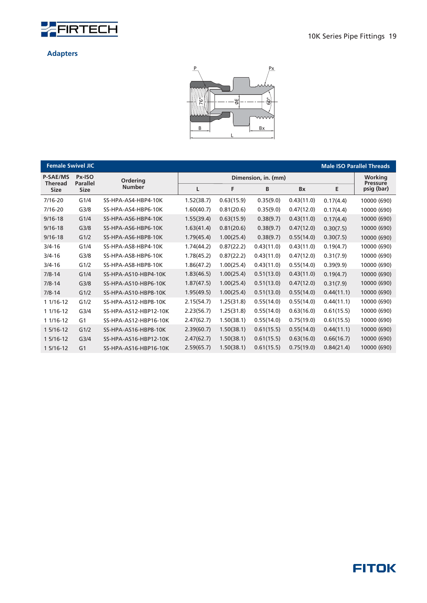



| <b>Female Swivel JIC</b>          |                           |                       |            |            |                     |            |            | <b>Male ISO Parallel Threads</b> |
|-----------------------------------|---------------------------|-----------------------|------------|------------|---------------------|------------|------------|----------------------------------|
| <b>P-SAE/MS</b><br><b>Theread</b> | Px-ISO<br><b>Parallel</b> | Ordering              |            |            | Dimension, in. (mm) |            |            | Working<br><b>Pressure</b>       |
| <b>Size</b>                       | <b>Size</b>               | <b>Number</b>         | L          | F          | B                   | <b>Bx</b>  | E          | psig (bar)                       |
| $7/16 - 20$                       | G1/4                      | SS-HPA-AS4-HBP4-10K   | 1.52(38.7) | 0.63(15.9) | 0.35(9.0)           | 0.43(11.0) | 0.17(4.4)  | 10000 (690)                      |
| $7/16 - 20$                       | G <sub>3/8</sub>          | SS-HPA-AS4-HBP6-10K   | 1.60(40.7) | 0.81(20.6) | 0.35(9.0)           | 0.47(12.0) | 0.17(4.4)  | 10000 (690)                      |
| $9/16 - 18$                       | G1/4                      | SS-HPA-AS6-HBP4-10K   | 1.55(39.4) | 0.63(15.9) | 0.38(9.7)           | 0.43(11.0) | 0.17(4.4)  | 10000 (690)                      |
| $9/16 - 18$                       | G <sub>3/8</sub>          | SS-HPA-AS6-HBP6-10K   | 1.63(41.4) | 0.81(20.6) | 0.38(9.7)           | 0.47(12.0) | 0.30(7.5)  | 10000 (690)                      |
| $9/16 - 18$                       | G1/2                      | SS-HPA-AS6-HBP8-10K   | 1.79(45.4) | 1.00(25.4) | 0.38(9.7)           | 0.55(14.0) | 0.30(7.5)  | 10000 (690)                      |
| $3/4 - 16$                        | G1/4                      | SS-HPA-AS8-HBP4-10K   | 1.74(44.2) | 0.87(22.2) | 0.43(11.0)          | 0.43(11.0) | 0.19(4.7)  | 10000 (690)                      |
| $3/4 - 16$                        | G <sub>3/8</sub>          | SS-HPA-AS8-HBP6-10K   | 1.78(45.2) | 0.87(22.2) | 0.43(11.0)          | 0.47(12.0) | 0.31(7.9)  | 10000 (690)                      |
| $3/4 - 16$                        | G1/2                      | SS-HPA-AS8-HBP8-10K   | 1.86(47.2) | 1.00(25.4) | 0.43(11.0)          | 0.55(14.0) | 0.39(9.9)  | 10000 (690)                      |
| $7/8 - 14$                        | G1/4                      | SS-HPA-AS10-HBP4-10K  | 1.83(46.5) | 1.00(25.4) | 0.51(13.0)          | 0.43(11.0) | 0.19(4.7)  | 10000 (690)                      |
| $7/8 - 14$                        | G <sub>3/8</sub>          | SS-HPA-AS10-HBP6-10K  | 1.87(47.5) | 1.00(25.4) | 0.51(13.0)          | 0.47(12.0) | 0.31(7.9)  | 10000 (690)                      |
| $7/8 - 14$                        | G1/2                      | SS-HPA-AS10-HBP8-10K  | 1.95(49.5) | 1.00(25.4) | 0.51(13.0)          | 0.55(14.0) | 0.44(11.1) | 10000 (690)                      |
| 1 1/16-12                         | G1/2                      | SS-HPA-AS12-HBP8-10K  | 2.15(54.7) | 1.25(31.8) | 0.55(14.0)          | 0.55(14.0) | 0.44(11.1) | 10000 (690)                      |
| 1 1/16-12                         | G <sub>3/4</sub>          | SS-HPA-AS12-HBP12-10K | 2.23(56.7) | 1.25(31.8) | 0.55(14.0)          | 0.63(16.0) | 0.61(15.5) | 10000 (690)                      |
| 1 1/16-12                         | G <sub>1</sub>            | SS-HPA-AS12-HBP16-10K | 2.47(62.7) | 1.50(38.1) | 0.55(14.0)          | 0.75(19.0) | 0.61(15.5) | 10000 (690)                      |
| 1 5/16-12                         | G1/2                      | SS-HPA-AS16-HBP8-10K  | 2.39(60.7) | 1.50(38.1) | 0.61(15.5)          | 0.55(14.0) | 0.44(11.1) | 10000 (690)                      |
| 1 5/16-12                         | G <sub>3/4</sub>          | SS-HPA-AS16-HBP12-10K | 2.47(62.7) | 1.50(38.1) | 0.61(15.5)          | 0.63(16.0) | 0.66(16.7) | 10000 (690)                      |
| 1 5/16-12                         | G <sub>1</sub>            | SS-HPA-AS16-HBP16-10K | 2.59(65.7) | 1.50(38.1) | 0.61(15.5)          | 0.75(19.0) | 0.84(21.4) | 10000 (690)                      |

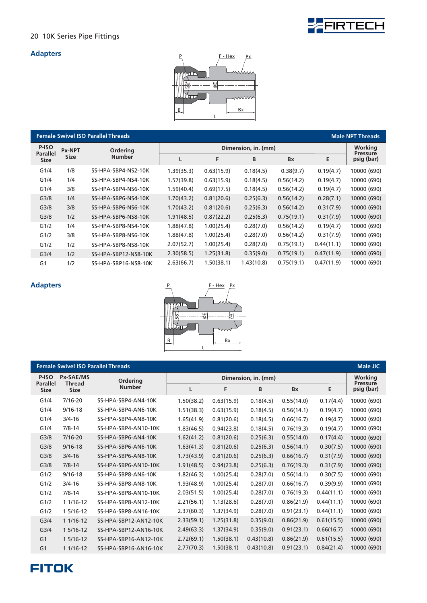

#### **Adapters**



|                          |               | <b>Female Swivel ISO Parallel Threads</b> |            |                     |            |            |            | <b>Male NPT Threads</b>       |
|--------------------------|---------------|-------------------------------------------|------------|---------------------|------------|------------|------------|-------------------------------|
| P-ISO<br><b>Parallel</b> | <b>Px-NPT</b> | <b>Ordering</b>                           |            | Dimension, in. (mm) |            |            |            |                               |
| <b>Size</b>              | <b>Size</b>   | <b>Number</b>                             |            | F                   | B          | <b>Bx</b>  | E          | <b>Pressure</b><br>psig (bar) |
| G1/4                     | 1/8           | SS-HPA-SBP4-NS2-10K                       | 1.39(35.3) | 0.63(15.9)          | 0.18(4.5)  | 0.38(9.7)  | 0.19(4.7)  | 10000 (690)                   |
| G1/4                     | 1/4           | SS-HPA-SBP4-NS4-10K                       | 1.57(39.8) | 0.63(15.9)          | 0.18(4.5)  | 0.56(14.2) | 0.19(4.7)  | 10000 (690)                   |
| G1/4                     | 3/8           | SS-HPA-SBP4-NS6-10K                       | 1.59(40.4) | 0.69(17.5)          | 0.18(4.5)  | 0.56(14.2) | 0.19(4.7)  | 10000 (690)                   |
| G <sub>3/8</sub>         | 1/4           | SS-HPA-SBP6-NS4-10K                       | 1.70(43.2) | 0.81(20.6)          | 0.25(6.3)  | 0.56(14.2) | 0.28(7.1)  | 10000 (690)                   |
| G <sub>3/8</sub>         | 3/8           | SS-HPA-SBP6-NS6-10K                       | 1.70(43.2) | 0.81(20.6)          | 0.25(6.3)  | 0.56(14.2) | 0.31(7.9)  | 10000 (690)                   |
| G <sub>3/8</sub>         | 1/2           | SS-HPA-SBP6-NS8-10K                       | 1.91(48.5) | 0.87(22.2)          | 0.25(6.3)  | 0.75(19.1) | 0.31(7.9)  | 10000 (690)                   |
| G1/2                     | 1/4           | SS-HPA-SBP8-NS4-10K                       | 1.88(47.8) | 1.00(25.4)          | 0.28(7.0)  | 0.56(14.2) | 0.19(4.7)  | 10000 (690)                   |
| G1/2                     | 3/8           | SS-HPA-SBP8-NS6-10K                       | 1.88(47.8) | 1.00(25.4)          | 0.28(7.0)  | 0.56(14.2) | 0.31(7.9)  | 10000 (690)                   |
| G1/2                     | 1/2           | SS-HPA-SBP8-NS8-10K                       | 2.07(52.7) | 1.00(25.4)          | 0.28(7.0)  | 0.75(19.1) | 0.44(11.1) | 10000 (690)                   |
| G <sub>3/4</sub>         | 1/2           | SS-HPA-SBP12-NS8-10K                      | 2.30(58.5) | 1.25(31.8)          | 0.35(9.0)  | 0.75(19.1) | 0.47(11.9) | 10000 (690)                   |
| G <sub>1</sub>           | 1/2           | SS-HPA-SBP16-NS8-10K                      | 2.63(66.7) | 1.50(38.1)          | 1.43(10.8) | 0.75(19.1) | 0.47(11.9) | 10000 (690)                   |



| <b>Female Swivel ISO Parallel Threads</b><br><b>Male JIC</b> |                            |                       |            |            |                     |            |            |                            |  |
|--------------------------------------------------------------|----------------------------|-----------------------|------------|------------|---------------------|------------|------------|----------------------------|--|
| P-ISO<br><b>Parallel</b>                                     | Px-SAE/MS<br><b>Thread</b> | <b>Ordering</b>       |            |            | Dimension, in. (mm) |            |            | Working<br><b>Pressure</b> |  |
| <b>Size</b>                                                  | <b>Size</b>                | <b>Number</b>         | L          | F          | B                   | Bx         | E          | psig (bar)                 |  |
| G1/4                                                         | $7/16 - 20$                | SS-HPA-SBP4-AN4-10K   | 1.50(38.2) | 0.63(15.9) | 0.18(4.5)           | 0.55(14.0) | 0.17(4.4)  | 10000 (690)                |  |
| G1/4                                                         | $9/16 - 18$                | SS-HPA-SBP4-AN6-10K   | 1.51(38.3) | 0.63(15.9) | 0.18(4.5)           | 0.56(14.1) | 0.19(4.7)  | 10000 (690)                |  |
| G1/4                                                         | $3/4 - 16$                 | SS-HPA-SBP4-AN8-10K   | 1.65(41.9) | 0.81(20.6) | 0.18(4.5)           | 0.66(16.7) | 0.19(4.7)  | 10000 (690)                |  |
| G1/4                                                         | $7/8 - 14$                 | SS-HPA-SBP4-AN10-10K  | 1.83(46.5) | 0.94(23.8) | 0.18(4.5)           | 0.76(19.3) | 0.19(4.7)  | 10000 (690)                |  |
| G <sub>3/8</sub>                                             | $7/16 - 20$                | SS-HPA-SBP6-AN4-10K   | 1.62(41.2) | 0.81(20.6) | 0.25(6.3)           | 0.55(14.0) | 0.17(4.4)  | 10000 (690)                |  |
| G <sub>3/8</sub>                                             | $9/16 - 18$                | SS-HPA-SBP6-AN6-10K   | 1.63(41.3) | 0.81(20.6) | 0.25(6.3)           | 0.56(14.1) | 0.30(7.5)  | 10000 (690)                |  |
| G <sub>3/8</sub>                                             | $3/4 - 16$                 | SS-HPA-SBP6-AN8-10K   | 1.73(43.9) | 0.81(20.6) | 0.25(6.3)           | 0.66(16.7) | 0.31(7.9)  | 10000 (690)                |  |
| G <sub>3/8</sub>                                             | $7/8 - 14$                 | SS-HPA-SBP6-AN10-10K  | 1.91(48.5) | 0.94(23.8) | 0.25(6.3)           | 0.76(19.3) | 0.31(7.9)  | 10000 (690)                |  |
| G1/2                                                         | $9/16 - 18$                | SS-HPA-SBP8-AN6-10K   | 1.82(46.3) | 1.00(25.4) | 0.28(7.0)           | 0.56(14.1) | 0.30(7.5)  | 10000 (690)                |  |
| G1/2                                                         | $3/4 - 16$                 | SS-HPA-SBP8-AN8-10K   | 1.93(48.9) | 1.00(25.4) | 0.28(7.0)           | 0.66(16.7) | 0.39(9.9)  | 10000 (690)                |  |
| G1/2                                                         | $7/8 - 14$                 | SS-HPA-SBP8-AN10-10K  | 2.03(51.5) | 1.00(25.4) | 0.28(7.0)           | 0.76(19.3) | 0.44(11.1) | 10000 (690)                |  |
| G1/2                                                         | 1 1/16-12                  | SS-HPA-SBP8-AN12-10K  | 2.21(56.1) | 1.13(28.6) | 0.28(7.0)           | 0.86(21.9) | 0.44(11.1) | 10000 (690)                |  |
| G1/2                                                         | 1 5/16-12                  | SS-HPA-SBP8-AN16-10K  | 2.37(60.3) | 1.37(34.9) | 0.28(7.0)           | 0.91(23.1) | 0.44(11.1) | 10000 (690)                |  |
| G <sub>3/4</sub>                                             | $11/16-12$                 | SS-HPA-SBP12-AN12-10K | 2.33(59.1) | 1.25(31.8) | 0.35(9.0)           | 0.86(21.9) | 0.61(15.5) | 10000 (690)                |  |
| G <sub>3/4</sub>                                             | 1 5/16-12                  | SS-HPA-SBP12-AN16-10K | 2.49(63.3) | 1.37(34.9) | 0.35(9.0)           | 0.91(23.1) | 0.66(16.7) | 10000 (690)                |  |
| G <sub>1</sub>                                               | $15/16-12$                 | SS-HPA-SBP16-AN12-10K | 2.72(69.1) | 1.50(38.1) | 0.43(10.8)          | 0.86(21.9) | 0.61(15.5) | 10000 (690)                |  |
| G <sub>1</sub>                                               | 1 1/16-12                  | SS-HPA-SBP16-AN16-10K | 2.77(70.3) | 1.50(38.1) | 0.43(10.8)          | 0.91(23.1) | 0.84(21.4) | 10000 (690)                |  |

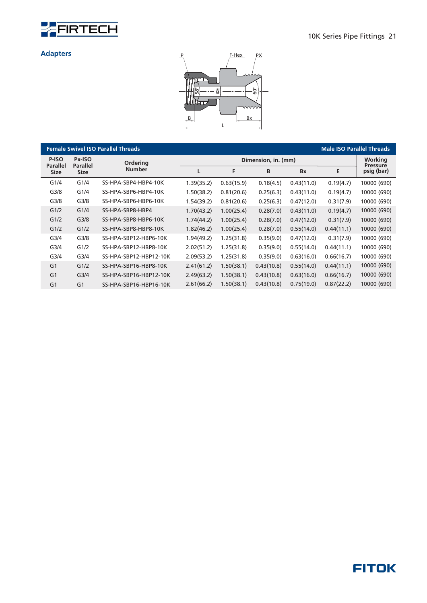



|                  |                                                                 | <b>Female Swivel ISO Parallel Threads</b> |            |                     |            |            | <b>Male ISO Parallel Threads</b> |                               |  |
|------------------|-----------------------------------------------------------------|-------------------------------------------|------------|---------------------|------------|------------|----------------------------------|-------------------------------|--|
| P-ISO            | Px-ISO<br><b>Ordering</b><br><b>Parallel</b><br><b>Parallel</b> |                                           |            | Dimension, in. (mm) |            |            |                                  |                               |  |
| <b>Size</b>      | <b>Size</b>                                                     | <b>Number</b>                             | L          | F                   | B          | <b>Bx</b>  | E                                | <b>Pressure</b><br>psig (bar) |  |
| G1/4             | G1/4                                                            | SS-HPA-SBP4-HBP4-10K                      | 1.39(35.2) | 0.63(15.9)          | 0.18(4.5)  | 0.43(11.0) | 0.19(4.7)                        | 10000 (690)                   |  |
| G <sub>3/8</sub> | G1/4                                                            | SS-HPA-SBP6-HBP4-10K                      | 1.50(38.2) | 0.81(20.6)          | 0.25(6.3)  | 0.43(11.0) | 0.19(4.7)                        | 10000 (690)                   |  |
| G <sub>3/8</sub> | G <sub>3/8</sub>                                                | SS-HPA-SBP6-HBP6-10K                      | 1.54(39.2) | 0.81(20.6)          | 0.25(6.3)  | 0.47(12.0) | 0.31(7.9)                        | 10000 (690)                   |  |
| G1/2             | G1/4                                                            | SS-HPA-SBP8-HBP4                          | 1.70(43.2) | 1.00(25.4)          | 0.28(7.0)  | 0.43(11.0) | 0.19(4.7)                        | 10000 (690)                   |  |
| G1/2             | G <sub>3/8</sub>                                                | SS-HPA-SBP8-HBP6-10K                      | 1.74(44.2) | 1.00(25.4)          | 0.28(7.0)  | 0.47(12.0) | 0.31(7.9)                        | 10000 (690)                   |  |
| G1/2             | G1/2                                                            | SS-HPA-SBP8-HBP8-10K                      | 1.82(46.2) | 1.00(25.4)          | 0.28(7.0)  | 0.55(14.0) | 0.44(11.1)                       | 10000 (690)                   |  |
| G3/4             | G <sub>3/8</sub>                                                | SS-HPA-SBP12-HBP6-10K                     | 1.94(49.2) | 1.25(31.8)          | 0.35(9.0)  | 0.47(12.0) | 0.31(7.9)                        | 10000 (690)                   |  |
| G <sub>3/4</sub> | G1/2                                                            | SS-HPA-SBP12-HBP8-10K                     | 2.02(51.2) | 1.25(31.8)          | 0.35(9.0)  | 0.55(14.0) | 0.44(11.1)                       | 10000 (690)                   |  |
| G <sub>3/4</sub> | G <sub>3/4</sub>                                                | SS-HPA-SBP12-HBP12-10K                    | 2.09(53.2) | 1.25(31.8)          | 0.35(9.0)  | 0.63(16.0) | 0.66(16.7)                       | 10000 (690)                   |  |
| G <sub>1</sub>   | G1/2                                                            | SS-HPA-SBP16-HBP8-10K                     | 2.41(61.2) | 1.50(38.1)          | 0.43(10.8) | 0.55(14.0) | 0.44(11.1)                       | 10000 (690)                   |  |
| G <sub>1</sub>   | G <sub>3/4</sub>                                                | SS-HPA-SBP16-HBP12-10K                    | 2.49(63.2) | 1.50(38.1)          | 0.43(10.8) | 0.63(16.0) | 0.66(16.7)                       | 10000 (690)                   |  |
| G <sub>1</sub>   | G <sub>1</sub>                                                  | SS-HPA-SBP16-HBP16-10K                    | 2.61(66.2) | 1.50(38.1)          | 0.43(10.8) | 0.75(19.0) | 0.87(22.2)                       | 10000 (690)                   |  |

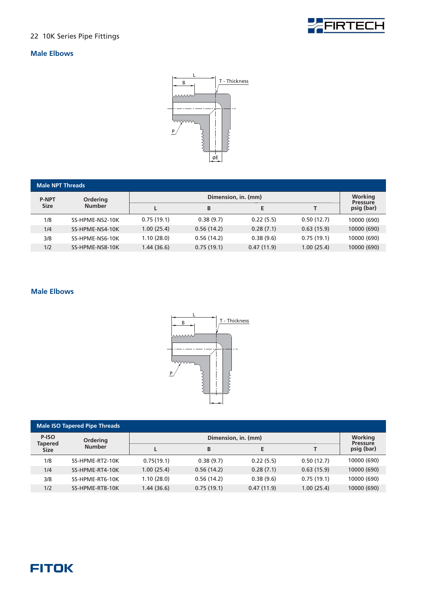

#### **Male Elbows**



| <b>Male NPT Threads</b> |                 |            |                            |            |            |             |  |  |  |  |
|-------------------------|-----------------|------------|----------------------------|------------|------------|-------------|--|--|--|--|
| <b>P-NPT</b>            | Ordering        |            | Working<br><b>Pressure</b> |            |            |             |  |  |  |  |
| <b>Size</b>             | <b>Number</b>   |            | B                          | E.         |            | psig (bar)  |  |  |  |  |
| 1/8                     | SS-HPME-NS2-10K | 0.75(19.1) | 0.38(9.7)                  | 0.22(5.5)  | 0.50(12.7) | 10000 (690) |  |  |  |  |
| 1/4                     | SS-HPME-NS4-10K | 1.00(25.4) | 0.56(14.2)                 | 0.28(7.1)  | 0.63(15.9) | 10000 (690) |  |  |  |  |
| 3/8                     | SS-HPME-NS6-10K | 1.10(28.0) | 0.56(14.2)                 | 0.38(9.6)  | 0.75(19.1) | 10000 (690) |  |  |  |  |
| 1/2                     | SS-HPME-NS8-10K | 1.44(36.6) | 0.75(19.1)                 | 0.47(11.9) | 1.00(25.4) | 10000 (690) |  |  |  |  |

#### **Male Elbows**



| <b>Male ISO Tapered Pipe Threads</b> |                 |             |                            |            |            |             |  |  |  |  |
|--------------------------------------|-----------------|-------------|----------------------------|------------|------------|-------------|--|--|--|--|
| P-ISO<br><b>Tapered</b>              | Ordering        |             | Working<br><b>Pressure</b> |            |            |             |  |  |  |  |
| <b>Size</b>                          | <b>Number</b>   |             | B                          | Е          |            | psig (bar)  |  |  |  |  |
| 1/8                                  | SS-HPME-RT2-10K | 0.75(19.1)  | 0.38(9.7)                  | 0.22(5.5)  | 0.50(12.7) | 10000 (690) |  |  |  |  |
| 1/4                                  | SS-HPME-RT4-10K | 1.00(25.4)  | 0.56(14.2)                 | 0.28(7.1)  | 0.63(15.9) | 10000 (690) |  |  |  |  |
| 3/8                                  | SS-HPME-RT6-10K | 1.10(28.0)  | 0.56(14.2)                 | 0.38(9.6)  | 0.75(19.1) | 10000 (690) |  |  |  |  |
| 1/2                                  | SS-HPME-RT8-10K | 1.44 (36.6) | 0.75(19.1)                 | 0.47(11.9) | 1.00(25.4) | 10000 (690) |  |  |  |  |

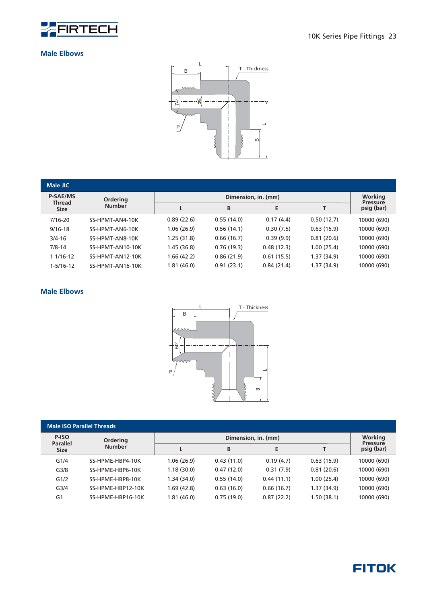

#### **Male Elbows**



| Male JIC                         |                  |             |                     |            |            |                               |  |  |
|----------------------------------|------------------|-------------|---------------------|------------|------------|-------------------------------|--|--|
| <b>P-SAE/MS</b><br><b>Thread</b> | <b>Ordering</b>  |             | Dimension, in. (mm) |            |            |                               |  |  |
| <b>Size</b>                      | <b>Number</b>    |             | B                   | E          |            | <b>Pressure</b><br>psig (bar) |  |  |
| $7/16 - 20$                      | SS-HPMT-AN4-10K  | 0.89(22.6)  | 0.55(14.0)          | 0.17(4.4)  | 0.50(12.7) | 10000 (690)                   |  |  |
| $9/16 - 18$                      | SS-HPMT-AN6-10K  | 1.06 (26.9) | 0.56(14.1)          | 0.30(7.5)  | 0.63(15.9) | 10000 (690)                   |  |  |
| $3/4 - 16$                       | SS-HPMT-AN8-10K  | 1.25 (31.8) | 0.66(16.7)          | 0.39(9.9)  | 0.81(20.6) | 10000 (690)                   |  |  |
| $7/8 - 14$                       | SS-HPMT-AN10-10K | 1.45 (36.8) | 0.76(19.3)          | 0.48(12.3) | 1.00(25.4) | 10000 (690)                   |  |  |
| 1 1/16-12                        | SS-HPMT-AN12-10K | 1.66 (42.2) | 0.86(21.9)          | 0.61(15.5) | 1.37(34.9) | 10000 (690)                   |  |  |
| $1 - 5/16 - 12$                  | SS-HPMT-AN16-10K | 1.81 (46.0) | 0.91(23.1)          | 0.84(21.4) | 1.37(34.9) | 10000 (690)                   |  |  |

#### **Male Elbows**



| <b>Male ISO Parallel Threads</b>        |                   |             |                                   |            |            |             |  |  |  |  |
|-----------------------------------------|-------------------|-------------|-----------------------------------|------------|------------|-------------|--|--|--|--|
| P-ISO<br><b>Parallel</b><br><b>Size</b> | <b>Ordering</b>   |             | <b>Working</b><br><b>Pressure</b> |            |            |             |  |  |  |  |
|                                         | <b>Number</b>     |             | B                                 | E          |            | psig (bar)  |  |  |  |  |
| G1/4                                    | SS-HPME-HBP4-10K  | 1.06(26.9)  | 0.43(11.0)                        | 0.19(4.7)  | 0.63(15.9) | 10000 (690) |  |  |  |  |
| G <sub>3/8</sub>                        | SS-HPME-HBP6-10K  | 1.18(30.0)  | 0.47(12.0)                        | 0.31(7.9)  | 0.81(20.6) | 10000 (690) |  |  |  |  |
| G1/2                                    | SS-HPME-HBP8-10K  | 1.34 (34.0) | 0.55(14.0)                        | 0.44(11.1) | 1.00(25.4) | 10000 (690) |  |  |  |  |
| G <sub>3/4</sub>                        | SS-HPME-HBP12-10K | 1.69 (42.8) | 0.63(16.0)                        | 0.66(16.7) | 1.37(34.9) | 10000 (690) |  |  |  |  |
| G <sub>1</sub>                          | SS-HPME-HBP16-10K | 1.81 (46.0) | 0.75(19.0)                        | 0.87(22.2) | 1.50(38.1) | 10000 (690) |  |  |  |  |

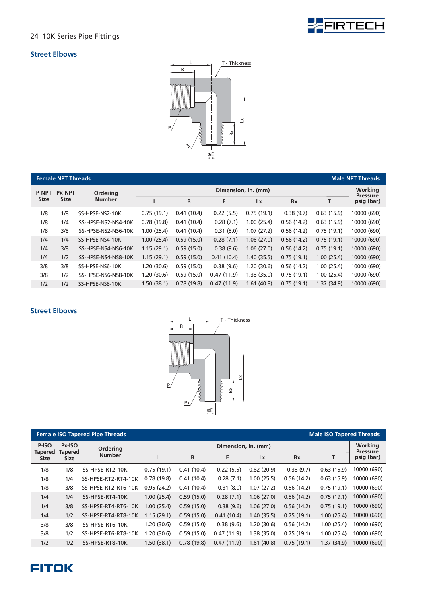

#### **Street Elbows**



|                               | <b>Female NPT Threads</b><br><b>Male NPT Threads</b> |                     |                     |            |            |            |            |            |                               |  |  |
|-------------------------------|------------------------------------------------------|---------------------|---------------------|------------|------------|------------|------------|------------|-------------------------------|--|--|
| <b>Px-NPT</b><br><b>P-NPT</b> |                                                      | Ordering            | Dimension, in. (mm) |            |            |            |            |            |                               |  |  |
| <b>Size</b>                   | <b>Size</b>                                          | <b>Number</b>       |                     | B          | E          | Lx         | <b>Bx</b>  | т          | <b>Pressure</b><br>psig (bar) |  |  |
| 1/8                           | 1/8                                                  | SS-HPSE-NS2-10K     | 0.75(19.1)          | 0.41(10.4) | 0.22(5.5)  | 0.75(19.1) | 0.38(9.7)  | 0.63(15.9) | 10000 (690)                   |  |  |
| 1/8                           | 1/4                                                  | SS-HPSE-NS2-NS4-10K | 0.78(19.8)          | 0.41(10.4) | 0.28(7.1)  | 1.00(25.4) | 0.56(14.2) | 0.63(15.9) | 10000 (690)                   |  |  |
| 1/8                           | 3/8                                                  | SS-HPSE-NS2-NS6-10K | 1.00(25.4)          | 0.41(10.4) | 0.31(8.0)  | 1.07(27.2) | 0.56(14.2) | 0.75(19.1) | 10000 (690)                   |  |  |
| 1/4                           | 1/4                                                  | SS-HPSE-NS4-10K     | 1.00(25.4)          | 0.59(15.0) | 0.28(7.1)  | 1.06(27.0) | 0.56(14.2) | 0.75(19.1) | 10000 (690)                   |  |  |
| 1/4                           | 3/8                                                  | SS-HPSE-NS4-NS6-10K | 1.15(29.1)          | 0.59(15.0) | 0.38(9.6)  | 1.06(27.0) | 0.56(14.2) | 0.75(19.1) | 10000 (690)                   |  |  |
| 1/4                           | 1/2                                                  | SS-HPSE-NS4-NS8-10K | 1.15(29.1)          | 0.59(15.0) | 0.41(10.4) | 1.40(35.5) | 0.75(19.1) | 1.00(25.4) | 10000 (690)                   |  |  |
| 3/8                           | 3/8                                                  | SS-HPSE-NS6-10K     | 1.20(30.6)          | 0.59(15.0) | 0.38(9.6)  | 1.20(30.6) | 0.56(14.2) | 1.00(25.4) | 10000 (690)                   |  |  |
| 3/8                           | 1/2                                                  | SS-HPSE-NS6-NS8-10K | 1.20(30.6)          | 0.59(15.0) | 0.47(11.9) | 1.38(35.0) | 0.75(19.1) | 1.00(25.4) | 10000 (690)                   |  |  |
| 1/2                           | 1/2                                                  | SS-HPSE-NS8-10K     | 1.50(38.1)          | 0.78(19.8) | 0.47(11.9) | 1.61(40.8) | 0.75(19.1) | 1.37(34.9) | 10000 (690)                   |  |  |

#### **Street Elbows**



| <b>Female ISO Tapered Pipe Threads</b><br><b>Male ISO Tapered Threads</b> |                                                                                                       |                     |                     |            |            |             |            |            |                               |  |  |
|---------------------------------------------------------------------------|-------------------------------------------------------------------------------------------------------|---------------------|---------------------|------------|------------|-------------|------------|------------|-------------------------------|--|--|
| P-ISO                                                                     | Px-ISO<br>Ordering<br><b>Tapered</b><br><b>Tapered</b><br><b>Number</b><br><b>Size</b><br><b>Size</b> |                     | Dimension, in. (mm) |            |            |             |            |            |                               |  |  |
|                                                                           |                                                                                                       |                     |                     | B          | Е          | <b>Lx</b>   | <b>Bx</b>  |            | <b>Pressure</b><br>psig (bar) |  |  |
| 1/8                                                                       | 1/8                                                                                                   | SS-HPSE-RT2-10K     | 0.75(19.1)          | 0.41(10.4) | 0.22(5.5)  | 0.82(20.9)  | 0.38(9.7)  | 0.63(15.9) | 10000 (690)                   |  |  |
| 1/8                                                                       | 1/4                                                                                                   | SS-HPSE-RT2-RT4-10K | 0.78(19.8)          | 0.41(10.4) | 0.28(7.1)  | 1.00(25.5)  | 0.56(14.2) | 0.63(15.9) | 10000 (690)                   |  |  |
| 1/8                                                                       | 3/8                                                                                                   | SS-HPSE-RT2-RT6-10K | 0.95(24.2)          | 0.41(10.4) | 0.31(8.0)  | 1.07(27.2)  | 0.56(14.2) | 0.75(19.1) | 10000 (690)                   |  |  |
| 1/4                                                                       | 1/4                                                                                                   | SS-HPSE-RT4-10K     | 1.00(25.4)          | 0.59(15.0) | 0.28(7.1)  | 1.06(27.0)  | 0.56(14.2) | 0.75(19.1) | 10000 (690)                   |  |  |
| 1/4                                                                       | 3/8                                                                                                   | SS-HPSE-RT4-RT6-10K | 1.00(25.4)          | 0.59(15.0) | 0.38(9.6)  | 1.06(27.0)  | 0.56(14.2) | 0.75(19.1) | 10000 (690)                   |  |  |
| 1/4                                                                       | 1/2                                                                                                   | SS-HPSE-RT4-RT8-10K | 1.15(29.1)          | 0.59(15.0) | 0.41(10.4) | 1.40(35.5)  | 0.75(19.1) | 1.00(25.4) | 10000 (690)                   |  |  |
| 3/8                                                                       | 3/8                                                                                                   | SS-HPSE-RT6-10K     | 1.20(30.6)          | 0.59(15.0) | 0.38(9.6)  | 1.20(30.6)  | 0.56(14.2) | 1.00(25.4) | 10000 (690)                   |  |  |
| 3/8                                                                       | 1/2                                                                                                   | SS-HPSE-RT6-RT8-10K | 1.20 (30.6)         | 0.59(15.0) | 0.47(11.9) | 1.38 (35.0) | 0.75(19.1) | 1.00(25.4) | 10000 (690)                   |  |  |
| 1/2                                                                       | 1/2                                                                                                   | SS-HPSE-RT8-10K     | 1.50(38.1)          | 0.78(19.8) | 0.47(11.9) | 1.61(40.8)  | 0.75(19.1) | 1.37(34.9) | 10000 (690)                   |  |  |

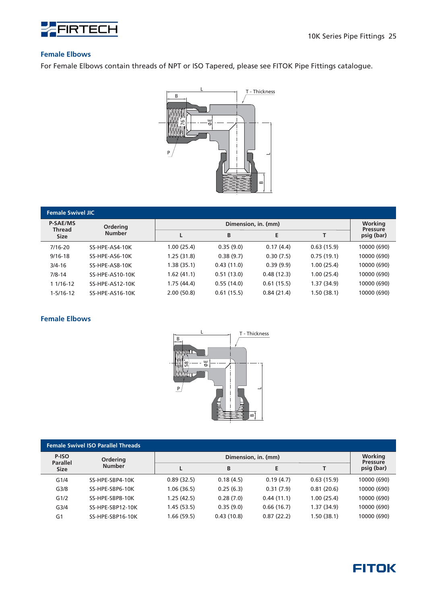

#### **Female Elbows**

For Female Elbows contain threads of NPT or ISO Tapered, please see FITOK Pipe Fittings catalogue.



| <b>Female Swivel JIC</b>                 |                 |             |                     |            |            |                               |  |  |  |  |
|------------------------------------------|-----------------|-------------|---------------------|------------|------------|-------------------------------|--|--|--|--|
| <b>P-SAE/MS</b><br>Thread<br><b>Size</b> | <b>Ordering</b> |             | Dimension, in. (mm) |            |            |                               |  |  |  |  |
|                                          | <b>Number</b>   |             | B                   | E          |            | <b>Pressure</b><br>psig (bar) |  |  |  |  |
| $7/16 - 20$                              | SS-HPE-AS4-10K  | 1.00(25.4)  | 0.35(9.0)           | 0.17(4.4)  | 0.63(15.9) | 10000 (690)                   |  |  |  |  |
| $9/16 - 18$                              | SS-HPE-AS6-10K  | 1.25(31.8)  | 0.38(9.7)           | 0.30(7.5)  | 0.75(19.1) | 10000 (690)                   |  |  |  |  |
| $3/4 - 16$                               | SS-HPE-AS8-10K  | 1.38 (35.1) | 0.43(11.0)          | 0.39(9.9)  | 1.00(25.4) | 10000 (690)                   |  |  |  |  |
| $7/8 - 14$                               | SS-HPE-AS10-10K | 1.62(41.1)  | 0.51(13.0)          | 0.48(12.3) | 1.00(25.4) | 10000 (690)                   |  |  |  |  |
| $11/16-12$                               | SS-HPE-AS12-10K | 1.75 (44.4) | 0.55(14.0)          | 0.61(15.5) | 1.37(34.9) | 10000 (690)                   |  |  |  |  |
| $1 - 5/16 - 12$                          | SS-HPE-AS16-10K | 2.00(50.8)  | 0.61(15.5)          | 0.84(21.4) | 1.50(38.1) | 10000 (690)                   |  |  |  |  |

#### **Female Elbows**

![](_page_26_Figure_7.jpeg)

| <b>Female Swivel ISO Parallel Threads</b> |                  |             |                                   |            |            |             |  |  |  |  |  |
|-------------------------------------------|------------------|-------------|-----------------------------------|------------|------------|-------------|--|--|--|--|--|
| P-ISO<br><b>Parallel</b><br><b>Size</b>   | <b>Ordering</b>  |             | <b>Working</b><br><b>Pressure</b> |            |            |             |  |  |  |  |  |
|                                           | <b>Number</b>    |             | B                                 | E          |            | psig (bar)  |  |  |  |  |  |
| G1/4                                      | SS-HPE-SBP4-10K  | 0.89(32.5)  | 0.18(4.5)                         | 0.19(4.7)  | 0.63(15.9) | 10000 (690) |  |  |  |  |  |
| G <sub>3/8</sub>                          | SS-HPE-SBP6-10K  | 1.06 (36.5) | 0.25(6.3)                         | 0.31(7.9)  | 0.81(20.6) | 10000 (690) |  |  |  |  |  |
| G1/2                                      | SS-HPE-SBP8-10K  | 1.25 (42.5) | 0.28(7.0)                         | 0.44(11.1) | 1.00(25.4) | 10000 (690) |  |  |  |  |  |
| G <sub>3/4</sub>                          | SS-HPE-SBP12-10K | 1.45 (53.5) | 0.35(9.0)                         | 0.66(16.7) | 1.37(34.9) | 10000 (690) |  |  |  |  |  |
| G <sub>1</sub>                            | SS-HPE-SBP16-10K | 1.66 (59.5) | 0.43(10.8)                        | 0.87(22.2) | 1.50(38.1) | 10000 (690) |  |  |  |  |  |

![](_page_26_Picture_9.jpeg)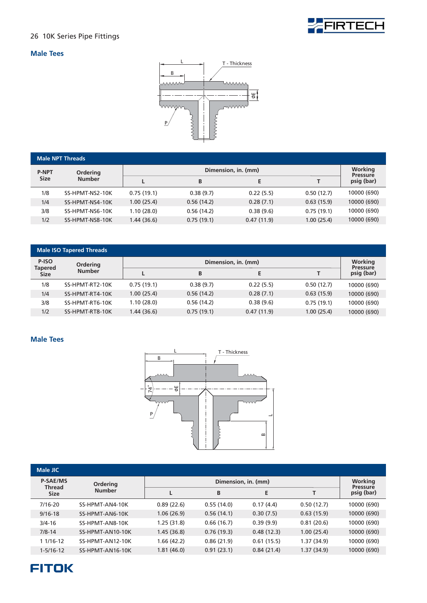![](_page_27_Picture_0.jpeg)

#### **Male Tees**

![](_page_27_Figure_3.jpeg)

| <b>Male NPT Threads</b> |                 |            |                            |            |            |             |  |  |  |  |
|-------------------------|-----------------|------------|----------------------------|------------|------------|-------------|--|--|--|--|
| <b>P-NPT</b>            | <b>Ordering</b> |            | Working<br><b>Pressure</b> |            |            |             |  |  |  |  |
| <b>Size</b>             | <b>Number</b>   |            | B                          | E          |            | psig (bar)  |  |  |  |  |
| 1/8                     | SS-HPMT-NS2-10K | 0.75(19.1) | 0.38(9.7)                  | 0.22(5.5)  | 0.50(12.7) | 10000 (690) |  |  |  |  |
| 1/4                     | SS-HPMT-NS4-10K | 1.00(25.4) | 0.56(14.2)                 | 0.28(7.1)  | 0.63(15.9) | 10000 (690) |  |  |  |  |
| 3/8                     | SS-HPMT-NS6-10K | 1.10(28.0) | 0.56(14.2)                 | 0.38(9.6)  | 0.75(19.1) | 10000 (690) |  |  |  |  |
| 1/2                     | SS-HPMT-NS8-10K | 1.44(36.6) | 0.75(19.1)                 | 0.47(11.9) | 1.00(25.4) | 10000 (690) |  |  |  |  |

| <b>Male ISO Tapered Threads</b> |                 |            |                            |            |            |             |  |  |  |  |
|---------------------------------|-----------------|------------|----------------------------|------------|------------|-------------|--|--|--|--|
| P-ISO<br><b>Tapered</b>         | <b>Ordering</b> |            | Working<br><b>Pressure</b> |            |            |             |  |  |  |  |
| <b>Size</b>                     | <b>Number</b>   |            | B                          | Е          |            | psig (bar)  |  |  |  |  |
| 1/8                             | SS-HPMT-RT2-10K | 0.75(19.1) | 0.38(9.7)                  | 0.22(5.5)  | 0.50(12.7) | 10000 (690) |  |  |  |  |
| 1/4                             | SS-HPMT-RT4-10K | 1.00(25.4) | 0.56(14.2)                 | 0.28(7.1)  | 0.63(15.9) | 10000 (690) |  |  |  |  |
| 3/8                             | SS-HPMT-RT6-10K | 1.10(28.0) | 0.56(14.2)                 | 0.38(9.6)  | 0.75(19.1) | 10000 (690) |  |  |  |  |
| 1/2                             | SS-HPMT-RT8-10K | 1.44(36.6) | 0.75(19.1)                 | 0.47(11.9) | 1.00(25.4) | 10000 (690) |  |  |  |  |

#### **Male Tees**

![](_page_27_Figure_7.jpeg)

| <b>Male JIC</b>                  |                  |             |                     |            |            |                               |  |  |
|----------------------------------|------------------|-------------|---------------------|------------|------------|-------------------------------|--|--|
| <b>P-SAE/MS</b><br><b>Thread</b> | Ordering         |             | Dimension, in. (mm) |            |            |                               |  |  |
| <b>Size</b>                      | <b>Number</b>    |             | B                   | E          |            | <b>Pressure</b><br>psig (bar) |  |  |
| $7/16 - 20$                      | SS-HPMT-AN4-10K  | 0.89(22.6)  | 0.55(14.0)          | 0.17(4.4)  | 0.50(12.7) | 10000 (690)                   |  |  |
| $9/16 - 18$                      | SS-HPMT-AN6-10K  | 1.06(26.9)  | 0.56(14.1)          | 0.30(7.5)  | 0.63(15.9) | 10000 (690)                   |  |  |
| $3/4 - 16$                       | SS-HPMT-AN8-10K  | 1.25 (31.8) | 0.66(16.7)          | 0.39(9.9)  | 0.81(20.6) | 10000 (690)                   |  |  |
| $7/8 - 14$                       | SS-HPMT-AN10-10K | 1.45 (36.8) | 0.76(19.3)          | 0.48(12.3) | 1.00(25.4) | 10000 (690)                   |  |  |
| 1 1/16-12                        | SS-HPMT-AN12-10K | 1.66(42.2)  | 0.86(21.9)          | 0.61(15.5) | 1.37(34.9) | 10000 (690)                   |  |  |
| $1 - 5/16 - 12$                  | SS-HPMT-AN16-10K | 1.81(46.0)  | 0.91(23.1)          | 0.84(21.4) | 1.37(34.9) | 10000 (690)                   |  |  |

![](_page_27_Picture_9.jpeg)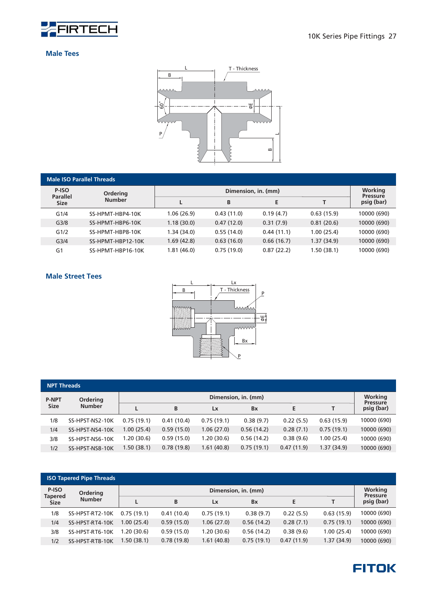![](_page_28_Picture_0.jpeg)

#### **Male Tees**

![](_page_28_Figure_3.jpeg)

|                          | <b>Male ISO Parallel Threads</b> |             |                            |            |            |             |  |  |  |
|--------------------------|----------------------------------|-------------|----------------------------|------------|------------|-------------|--|--|--|
| P-ISO<br><b>Parallel</b> | Ordering                         |             | Working<br><b>Pressure</b> |            |            |             |  |  |  |
| <b>Size</b>              | <b>Number</b>                    |             | B                          | E          |            | psig (bar)  |  |  |  |
| G1/4                     | SS-HPMT-HBP4-10K                 | 1.06(26.9)  | 0.43(11.0)                 | 0.19(4.7)  | 0.63(15.9) | 10000 (690) |  |  |  |
| G <sub>3/8</sub>         | SS-HPMT-HBP6-10K                 | 1.18(30.0)  | 0.47(12.0)                 | 0.31(7.9)  | 0.81(20.6) | 10000 (690) |  |  |  |
| G1/2                     | SS-HPMT-HBP8-10K                 | 1.34 (34.0) | 0.55(14.0)                 | 0.44(11.1) | 1.00(25.4) | 10000 (690) |  |  |  |
| G <sub>3/4</sub>         | SS-HPMT-HBP12-10K                | 1.69(42.8)  | 0.63(16.0)                 | 0.66(16.7) | 1.37(34.9) | 10000 (690) |  |  |  |
| G <sub>1</sub>           | SS-HPMT-HBP16-10K                | 1.81 (46.0) | 0.75(19.0)                 | 0.87(22.2) | 1.50(38.1) | 10000 (690) |  |  |  |

#### **Male Street Tees**

![](_page_28_Figure_6.jpeg)

| <b>NPT Threads</b> |                 |                     |            |            |            |            |            |                               |
|--------------------|-----------------|---------------------|------------|------------|------------|------------|------------|-------------------------------|
| <b>P-NPT</b>       | <b>Ordering</b> | Dimension, in. (mm) |            |            |            |            |            |                               |
| <b>Size</b>        | <b>Number</b>   |                     | B          | Lx         | <b>Bx</b>  | E          | т          | <b>Pressure</b><br>psig (bar) |
| 1/8                | SS-HPST-NS2-10K | 0.75(19.1)          | 0.41(10.4) | 0.75(19.1) | 0.38(9.7)  | 0.22(5.5)  | 0.63(15.9) | 10000 (690)                   |
| 1/4                | SS-HPST-NS4-10K | 1.00(25.4)          | 0.59(15.0) | 1.06(27.0) | 0.56(14.2) | 0.28(7.1)  | 0.75(19.1) | 10000 (690)                   |
| 3/8                | SS-HPST-NS6-10K | 1.20 (30.6)         | 0.59(15.0) | 1.20(30.6) | 0.56(14.2) | 0.38(9.6)  | 1.00(25.4) | 10000 (690)                   |
| 1/2                | SS-HPST-NS8-10K | 1.50(38.1)          | 0.78(19.8) | 1.61(40.8) | 0.75(19.1) | 0.47(11.9) | 1.37(34.9) | 10000 (690)                   |

|                         | <b>ISO Tapered Pipe Threads</b> |            |                     |            |            |            |             |                               |  |
|-------------------------|---------------------------------|------------|---------------------|------------|------------|------------|-------------|-------------------------------|--|
| P-ISO<br><b>Tapered</b> | <b>Ordering</b>                 |            | Dimension, in. (mm) |            |            |            |             |                               |  |
| <b>Size</b>             | <b>Number</b>                   |            | B                   | Lx         | <b>Bx</b>  |            | т           | <b>Pressure</b><br>psig (bar) |  |
| 1/8                     | SS-HPST-RT2-10K                 | 0.75(19.1) | 0.41(10.4)          | 0.75(19.1) | 0.38(9.7)  | 0.22(5.5)  | 0.63(15.9)  | 10000 (690)                   |  |
| 1/4                     | SS-HPST-RT4-10K                 | 1.00(25.4) | 0.59(15.0)          | 1.06(27.0) | 0.56(14.2) | 0.28(7.1)  | 0.75(19.1)  | 10000 (690)                   |  |
| 3/8                     | SS-HPST-RT6-10K                 | .20(30.6)  | 0.59(15.0)          | 1.20(30.6) | 0.56(14.2) | 0.38(9.6)  | 1.00(25.4)  | 10000 (690)                   |  |
| 1/2                     | SS-HPST-RT8-10K                 | 1.50(38.1) | 0.78(19.8)          | 1.61(40.8) | 0.75(19.1) | 0.47(11.9) | 1.37 (34.9) | 10000 (690)                   |  |

![](_page_28_Picture_9.jpeg)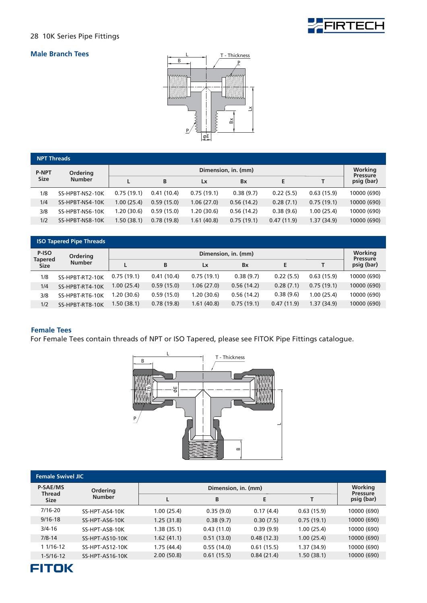![](_page_29_Picture_0.jpeg)

#### **Male Branch Tees**

![](_page_29_Figure_3.jpeg)

| <b>NPT Threads</b> |                 |                     |            |            |            |            |            |                               |  |
|--------------------|-----------------|---------------------|------------|------------|------------|------------|------------|-------------------------------|--|
| <b>P-NPT</b>       | <b>Ordering</b> | Dimension, in. (mm) |            |            |            |            |            |                               |  |
| <b>Size</b>        | <b>Number</b>   |                     | B          | Lx         | <b>Bx</b>  | E.         | т          | <b>Pressure</b><br>psig (bar) |  |
| 1/8                | SS-HPBT-NS2-10K | 0.75(19.1)          | 0.41(10.4) | 0.75(19.1) | 0.38(9.7)  | 0.22(5.5)  | 0.63(15.9) | 10000 (690)                   |  |
| 1/4                | SS-HPBT-NS4-10K | 1.00(25.4)          | 0.59(15.0) | 1.06(27.0) | 0.56(14.2) | 0.28(7.1)  | 0.75(19.1) | 10000 (690)                   |  |
| 3/8                | SS-HPBT-NS6-10K | 1.20(30.6)          | 0.59(15.0) | 1.20(30.6) | 0.56(14.2) | 0.38(9.6)  | 1.00(25.4) | 10000 (690)                   |  |
| 1/2                | SS-HPBT-NS8-10K | 1.50(38.1)          | 0.78(19.8) | 1.61(40.8) | 0.75(19.1) | 0.47(11.9) | 1.37(34.9) | 10000 (690)                   |  |

|                         | <b>ISO Tapered Pipe Threads</b> |             |                            |            |            |            |            |             |
|-------------------------|---------------------------------|-------------|----------------------------|------------|------------|------------|------------|-------------|
| P-ISO<br><b>Tapered</b> | <b>Ordering</b>                 |             | Working<br><b>Pressure</b> |            |            |            |            |             |
| <b>Size</b>             | <b>Number</b>                   |             | B                          | Lx         | <b>Bx</b>  | E          |            | psig (bar)  |
| 1/8                     | SS-HPBT-RT2-10K                 | 0.75(19.1)  | 0.41(10.4)                 | 0.75(19.1) | 0.38(9.7)  | 0.22(5.5)  | 0.63(15.9) | 10000 (690) |
| 1/4                     | SS-HPBT-RT4-10K                 | 1.00(25.4)  | 0.59(15.0)                 | 1.06(27.0) | 0.56(14.2) | 0.28(7.1)  | 0.75(19.1) | 10000 (690) |
| 3/8                     | SS-HPBT-RT6-10K                 | 1.20 (30.6) | 0.59(15.0)                 | 1.20(30.6) | 0.56(14.2) | 0.38(9.6)  | 1.00(25.4) | 10000 (690) |
| 1/2                     | SS-HPBT-RT8-10K                 | 1.50(38.1)  | 0.78(19.8)                 | 1.61(40.8) | 0.75(19.1) | 0.47(11.9) | 1.37(34.9) | 10000 (690) |

#### **Female Tees**

For Female Tees contain threads of NPT or ISO Tapered, please see FITOK Pipe Fittings catalogue.

![](_page_29_Picture_8.jpeg)

| <b>Female Swivel JIC</b>         |                 |            |                            |            |            |             |  |  |
|----------------------------------|-----------------|------------|----------------------------|------------|------------|-------------|--|--|
| <b>P-SAE/MS</b><br><b>Thread</b> | <b>Ordering</b> |            | Working<br><b>Pressure</b> |            |            |             |  |  |
| <b>Size</b>                      | <b>Number</b>   |            | B                          | E          |            | psig (bar)  |  |  |
| $7/16 - 20$                      | SS-HPT-AS4-10K  | 1.00(25.4) | 0.35(9.0)                  | 0.17(4.4)  | 0.63(15.9) | 10000 (690) |  |  |
| $9/16 - 18$                      | SS-HPT-AS6-10K  | 1.25(31.8) | 0.38(9.7)                  | 0.30(7.5)  | 0.75(19.1) | 10000 (690) |  |  |
| $3/4 - 16$                       | SS-HPT-AS8-10K  | 1.38(35.1) | 0.43(11.0)                 | 0.39(9.9)  | 1.00(25.4) | 10000 (690) |  |  |
| $7/8 - 14$                       | SS-HPT-AS10-10K | 1.62(41.1) | 0.51(13.0)                 | 0.48(12.3) | 1.00(25.4) | 10000 (690) |  |  |
| 1 1/16-12                        | SS-HPT-AS12-10K | 1.75(44.4) | 0.55(14.0)                 | 0.61(15.5) | 1.37(34.9) | 10000 (690) |  |  |
| $1 - 5/16 - 12$                  | SS-HPT-AS16-10K | 2.00(50.8) | 0.61(15.5)                 | 0.84(21.4) | 1.50(38.1) | 10000 (690) |  |  |

![](_page_29_Picture_10.jpeg)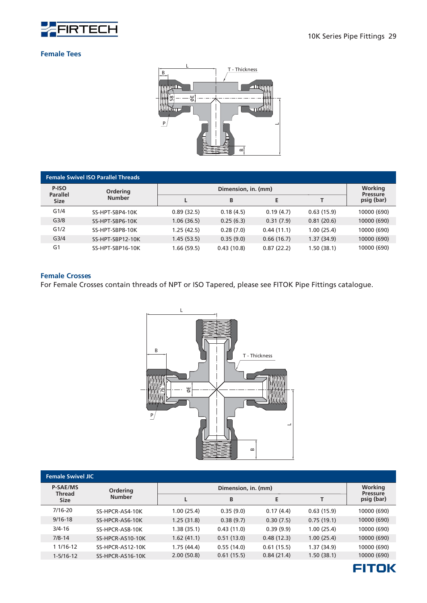![](_page_30_Picture_0.jpeg)

#### **Female Tees**

![](_page_30_Figure_3.jpeg)

|                          | <b>Female Swivel ISO Parallel Threads</b> |             |                     |            |            |                            |  |  |
|--------------------------|-------------------------------------------|-------------|---------------------|------------|------------|----------------------------|--|--|
| P-ISO<br><b>Parallel</b> | <b>Ordering</b>                           |             | Dimension, in. (mm) |            |            | Working<br><b>Pressure</b> |  |  |
| <b>Size</b>              | <b>Number</b>                             |             | B                   | E          |            | psig (bar)                 |  |  |
| G1/4                     | SS-HPT-SBP4-10K                           | 0.89(32.5)  | 0.18(4.5)           | 0.19(4.7)  | 0.63(15.9) | 10000 (690)                |  |  |
| G <sub>3/8</sub>         | SS-HPT-SBP6-10K                           | 1.06(36.5)  | 0.25(6.3)           | 0.31(7.9)  | 0.81(20.6) | 10000 (690)                |  |  |
| G1/2                     | SS-HPT-SBP8-10K                           | 1.25 (42.5) | 0.28(7.0)           | 0.44(11.1) | 1.00(25.4) | 10000 (690)                |  |  |
| G <sub>3/4</sub>         | SS-HPT-SBP12-10K                          | 1.45(53.5)  | 0.35(9.0)           | 0.66(16.7) | 1.37(34.9) | 10000 (690)                |  |  |
| G <sub>1</sub>           | SS-HPT-SBP16-10K                          | 1.66 (59.5) | 0.43(10.8)          | 0.87(22.2) | 1.50(38.1) | 10000 (690)                |  |  |

#### **Female Crosses**

For Female Crosses contain threads of NPT or ISO Tapered, please see FITOK Pipe Fittings catalogue.

![](_page_30_Figure_7.jpeg)

| <b>Female Swivel JIC</b>  |                         |             |                                   |            |            |             |
|---------------------------|-------------------------|-------------|-----------------------------------|------------|------------|-------------|
| <b>P-SAE/MS</b><br>Thread | <b>Ordering</b>         |             | <b>Working</b><br><b>Pressure</b> |            |            |             |
| <b>Size</b>               | <b>Number</b>           |             | B                                 | E          |            | psig (bar)  |
| $7/16 - 20$               | SS-HPCR-AS4-10K         | 1.00 (25.4) | 0.35(9.0)                         | 0.17(4.4)  | 0.63(15.9) | 10000 (690) |
| $9/16 - 18$               | SS-HPCR-AS6-10K         | 1.25(31.8)  | 0.38(9.7)                         | 0.30(7.5)  | 0.75(19.1) | 10000 (690) |
| $3/4 - 16$                | SS-HPCR-AS8-10K         | 1.38 (35.1) | 0.43(11.0)                        | 0.39(9.9)  | 1.00(25.4) | 10000 (690) |
| $7/8 - 14$                | SS-HPCR-AS10-10K        | 1.62(41.1)  | 0.51(13.0)                        | 0.48(12.3) | 1.00(25.4) | 10000 (690) |
| 1 1/16-12                 | <b>SS-HPCR-AS12-10K</b> | 1.75 (44.4) | 0.55(14.0)                        | 0.61(15.5) | 1.37(34.9) | 10000 (690) |
| $1 - 5/16 - 12$           | SS-HPCR-AS16-10K        | 2.00(50.8)  | 0.61(15.5)                        | 0.84(21.4) | 1.50(38.1) | 10000 (690) |

![](_page_30_Picture_9.jpeg)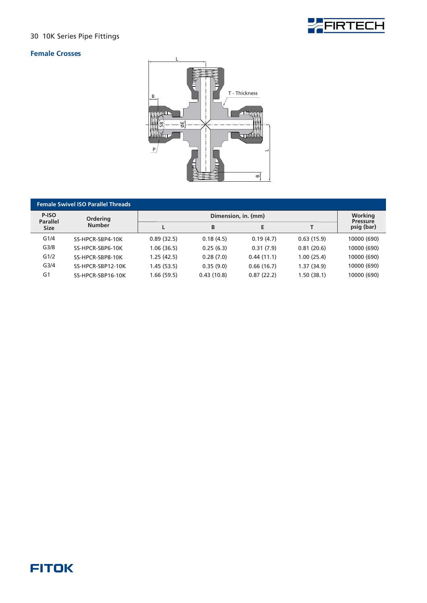![](_page_31_Picture_1.jpeg)

#### **Female Crosses**

![](_page_31_Picture_3.jpeg)

| <b>Female Swivel ISO Parallel Threads</b> |                   |             |                     |            |            |                               |  |  |
|-------------------------------------------|-------------------|-------------|---------------------|------------|------------|-------------------------------|--|--|
| P-ISO<br><b>Parallel</b>                  | <b>Ordering</b>   |             | Dimension, in. (mm) |            |            |                               |  |  |
| <b>Size</b>                               | <b>Number</b>     |             | B                   | Е          |            | <b>Pressure</b><br>psig (bar) |  |  |
| G1/4                                      | SS-HPCR-SBP4-10K  | 0.89(32.5)  | 0.18(4.5)           | 0.19(4.7)  | 0.63(15.9) | 10000 (690)                   |  |  |
| G <sub>3/8</sub>                          | SS-HPCR-SBP6-10K  | 1.06 (36.5) | 0.25(6.3)           | 0.31(7.9)  | 0.81(20.6) | 10000 (690)                   |  |  |
| G1/2                                      | SS-HPCR-SBP8-10K  | 1.25(42.5)  | 0.28(7.0)           | 0.44(11.1) | 1.00(25.4) | 10000 (690)                   |  |  |
| G <sub>3/4</sub>                          | SS-HPCR-SBP12-10K | 1.45 (53.5) | 0.35(9.0)           | 0.66(16.7) | 1.37(34.9) | 10000 (690)                   |  |  |
| G <sub>1</sub>                            | SS-HPCR-SBP16-10K | 1.66 (59.5) | 0.43(10.8)          | 0.87(22.2) | 1.50(38.1) | 10000 (690)                   |  |  |

### **FITOK**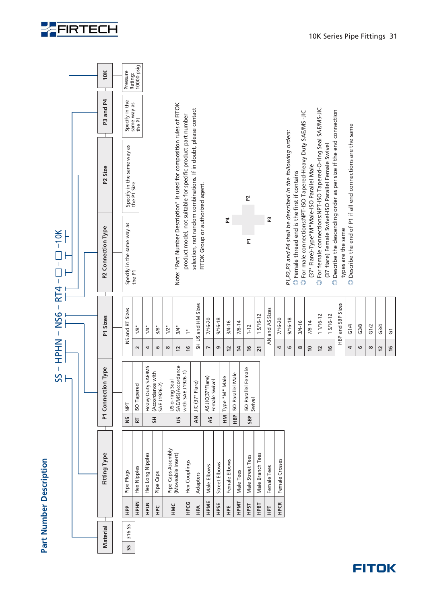![](_page_32_Picture_0.jpeg)

![](_page_32_Figure_1.jpeg)

![](_page_32_Picture_2.jpeg)

G3/4  $\overline{G}$ 

**12 16**

![](_page_32_Picture_4.jpeg)